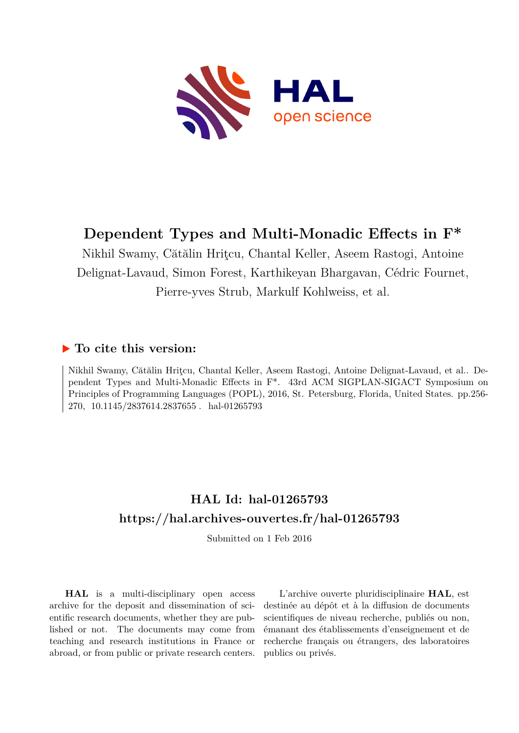

# **Dependent Types and Multi-Monadic Effects in F\***

Nikhil Swamy, Cătălin Hriţcu, Chantal Keller, Aseem Rastogi, Antoine Delignat-Lavaud, Simon Forest, Karthikeyan Bhargavan, Cédric Fournet, Pierre-yves Strub, Markulf Kohlweiss, et al.

### **To cite this version:**

Nikhil Swamy, Cătălin Hriţcu, Chantal Keller, Aseem Rastogi, Antoine Delignat-Lavaud, et al.. Dependent Types and Multi-Monadic Effects in F\*. 43rd ACM SIGPLAN-SIGACT Symposium on Principles of Programming Languages (POPL), 2016, St. Petersburg, Florida, United States. pp.256- 270,  $10.1145/2837614.2837655$ . hal-01265793

### **HAL Id: hal-01265793 <https://hal.archives-ouvertes.fr/hal-01265793>**

Submitted on 1 Feb 2016

**HAL** is a multi-disciplinary open access archive for the deposit and dissemination of scientific research documents, whether they are published or not. The documents may come from teaching and research institutions in France or abroad, or from public or private research centers.

L'archive ouverte pluridisciplinaire **HAL**, est destinée au dépôt et à la diffusion de documents scientifiques de niveau recherche, publiés ou non, émanant des établissements d'enseignement et de recherche français ou étrangers, des laboratoires publics ou privés.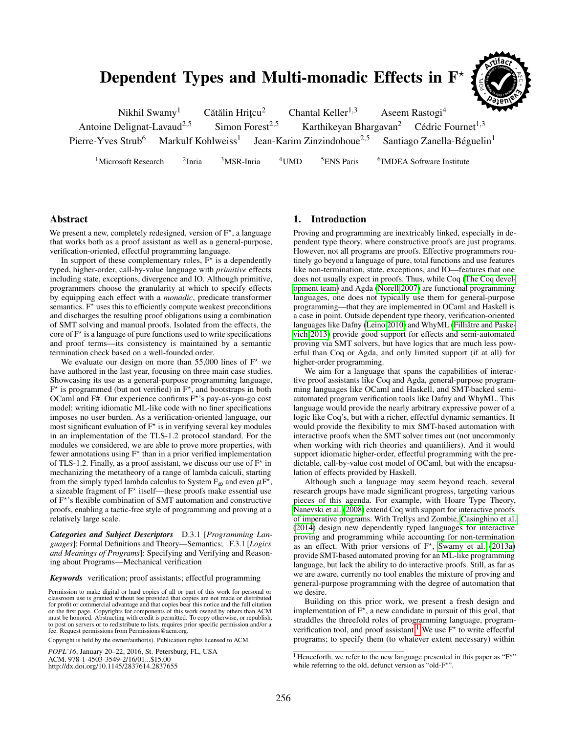## Dependent Types and Multi-monadic Effects in F



| Nikhil Swamy <sup>1</sup>              |                                | Cătălin Hritcu <sup>2</sup> |                                        | Chantal Keller <sup>1,3</sup>          | <b>The Second Second Second</b><br>Aseem Rastogi <sup>4</sup>    |  |
|----------------------------------------|--------------------------------|-----------------------------|----------------------------------------|----------------------------------------|------------------------------------------------------------------|--|
| Antoine Delignat-Lavaud <sup>2,5</sup> |                                | Simon Forest <sup>2,5</sup> |                                        |                                        | Karthikeyan Bhargavan <sup>2</sup> Cédric Fournet <sup>1,3</sup> |  |
| Pierre-Yves Strub <sup>6</sup>         | Markulf Kohlweiss <sup>1</sup> |                             | Jean-Karim Zinzindohoue <sup>2,5</sup> | Santiago Zanella-Béguelin <sup>1</sup> |                                                                  |  |
|                                        |                                |                             |                                        |                                        |                                                                  |  |

<sup>1</sup>Microsoft Research  $\frac{2 \text{Inria}}{2}$  $3$ MSR-Inria  $4$ UMD  $5$ ENS Paris <sup>6</sup>IMDEA Software Institute

#### Abstract

We present a new, completely redesigned, version of  $F^*$ , a language that works both as a proof assistant as well as a general-purpose, verification-oriented, effectful programming language.

In support of these complementary roles,  $F^*$  is a dependently typed, higher-order, call-by-value language with *primitive* effects including state, exceptions, divergence and IO. Although primitive, programmers choose the granularity at which to specify effects by equipping each effect with a *monadic*, predicate transformer semantics.  $F^*$  uses this to efficiently compute weakest preconditions and discharges the resulting proof obligations using a combination of SMT solving and manual proofs. Isolated from the effects, the core of  $F^*$  is a language of pure functions used to write specifications and proof terms—its consistency is maintained by a semantic termination check based on a well-founded order.

We evaluate our design on more than 55,000 lines of  $F^*$  we have authored in the last year, focusing on three main case studies. Showcasing its use as a general-purpose programming language,  $F^*$  is programmed (but not verified) in  $F^*$ , and bootstraps in both OCaml and F#. Our experience confirms F<sup>\*</sup>'s pay-as-you-go cost model: writing idiomatic ML-like code with no finer specifications imposes no user burden. As a verification-oriented language, our most significant evaluation of  $F^*$  is in verifying several key modules in an implementation of the TLS-1.2 protocol standard. For the modules we considered, we are able to prove more properties, with fewer annotations using  $F^*$  than in a prior verified implementation of TLS-1.2. Finally, as a proof assistant, we discuss our use of  $F^*$  in mechanizing the metatheory of a range of lambda calculi, starting from the simply typed lambda calculus to System  $F_{\omega}$  and even  $\mu F^{\bar{\star}}$ , a sizeable fragment of  $F^*$  itself—these proofs make essential use of F<sup>\*</sup>'s flexible combination of SMT automation and constructive proofs, enabling a tactic-free style of programming and proving at a relatively large scale.

*Categories and Subject Descriptors* D.3.1 [*Programming Languages*]: Formal Definitions and Theory—Semantics; F.3.1 [*Logics and Meanings of Programs*]: Specifying and Verifying and Reasoning about Programs—Mechanical verification

*Keywords* verification; proof assistants; effectful programming

Permission to make digital or hard copies of all or part of this work for personal or classroom use is granted without fee provided that copies are not made or distributed for profit or commercial advantage and that copies bear this notice and the full citation on the first page. Copyrights for components of this work owned by others than ACM must be honored. Abstracting with credit is permitted. To copy otherwise, or republish, to post on servers or to redistribute to lists, requires prior specific permission and/or a fee. Request permissions from Permissions@acm.org.

Copyright is held by the owner/author(s). Publication rights licensed to ACM.

*POPL'16*, January 20–22, 2016, St. Petersburg, FL, USA

ACM. 978-1-4503-3549-2/16/01...\$15.00 http://dx.doi.org/10.1145/2837614.2837655

#### 1. Introduction

Proving and programming are inextricably linked, especially in dependent type theory, where constructive proofs are just programs. However, not all programs are proofs. Effective programmers routinely go beyond a language of pure, total functions and use features like non-termination, state, exceptions, and IO—features that one does not usually expect in proofs. Thus, while Coq [\(The Coq devel](#page-15-0)[opment team\)](#page-15-0) and Agda [\(Norell 2007\)](#page-15-1) are functional programming languages, one does not typically use them for general-purpose programming—that they are implemented in OCaml and Haskell is a case in point. Outside dependent type theory, verification-oriented languages like Dafny [\(Leino 2010\)](#page-15-2) and WhyML (Filliâtre and Paske[vich 2013\)](#page-15-3) provide good support for effects and semi-automated proving via SMT solvers, but have logics that are much less powerful than Coq or Agda, and only limited support (if at all) for higher-order programming.

We aim for a language that spans the capabilities of interactive proof assistants like Coq and Agda, general-purpose programming languages like OCaml and Haskell, and SMT-backed semiautomated program verification tools like Dafny and WhyML. This language would provide the nearly arbitrary expressive power of a logic like Coq's, but with a richer, effectful dynamic semantics. It would provide the flexibility to mix SMT-based automation with interactive proofs when the SMT solver times out (not uncommonly when working with rich theories and quantifiers). And it would support idiomatic higher-order, effectful programming with the predictable, call-by-value cost model of OCaml, but with the encapsulation of effects provided by Haskell.

Although such a language may seem beyond reach, several research groups have made significant progress, targeting various pieces of this agenda. For example, with Hoare Type Theory, [Nanevski et al. \(2008\)](#page-15-4) extend Coq with support for interactive proofs of imperative programs. With Trellys and Zombie, [Casinghino et al.](#page-14-0) [\(2014\)](#page-14-0) design new dependently typed languages for interactive proving and programming while accounting for non-termination as an effect. With prior versions of  $F^*$ , [Swamy et al. \(2013a\)](#page-15-5) provide SMT-based automated proving for an ML-like programming language, but lack the ability to do interactive proofs. Still, as far as we are aware, currently no tool enables the mixture of proving and general-purpose programming with the degree of automation that we desire.

Building on this prior work, we present a fresh design and implementation of  $F^{\star}$ , a new candidate in pursuit of this goal, that straddles the threefold roles of programming language, program-verification tool, and proof assistant.<sup>[1](#page-1-0)</sup> We use  $F^*$  to write effectful programs; to specify them (to whatever extent necessary) within

<span id="page-1-0"></span><sup>&</sup>lt;sup>1</sup> Henceforth, we refer to the new language presented in this paper as "F<sup>\*"</sup> while referring to the old, defunct version as "old-F<sup>\*"</sup>.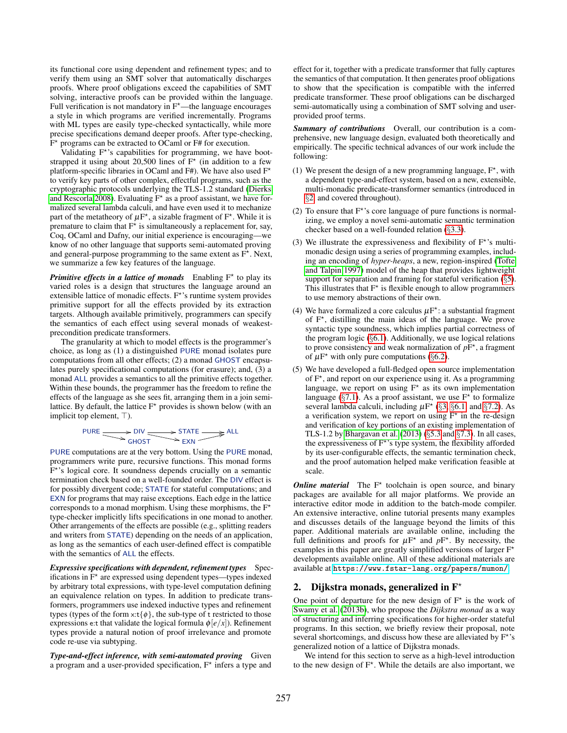its functional core using dependent and refinement types; and to verify them using an SMT solver that automatically discharges proofs. Where proof obligations exceed the capabilities of SMT solving, interactive proofs can be provided within the language. Full verification is not mandatory in  $F<sup>*</sup>$ —the language encourages a style in which programs are verified incrementally. Programs with ML types are easily type-checked syntactically, while more precise specifications demand deeper proofs. After type-checking,  $\tilde{F}^*$  programs can be extracted to OCaml or F# for execution.

Validating F<sup>\*</sup>'s capabilities for programming, we have bootstrapped it using about 20,500 lines of  $F^*$  (in addition to a few platform-specific libraries in OCaml and F#). We have also used  $F^*$ to verify key parts of other complex, effectful programs, such as the cryptographic protocols underlying the TLS-1.2 standard [\(Dierks](#page-15-6) [and Rescorla 2008\)](#page-15-6). Evaluating  $F^*$  as a proof assistant, we have formalized several lambda calculi, and have even used it to mechanize part of the metatheory of  $\mu$ F<sup>\*</sup>, a sizable fragment of F<sup>\*</sup>. While it is premature to claim that  $F^{\star}$  is simultaneously a replacement for, say, Coq, OCaml and Dafny, our initial experience is encouraging—we know of no other language that supports semi-automated proving and general-purpose programming to the same extent as  $F^*$ . Next, we summarize a few key features of the language.

**Primitive effects in a lattice of monads** Enabling  $F^*$  to play its varied roles is a design that structures the language around an extensible lattice of monadic effects.  $F^*$ 's runtime system provides primitive support for all the effects provided by its extraction targets. Although available primitively, programmers can specify the semantics of each effect using several monads of weakestprecondition predicate transformers.

The granularity at which to model effects is the programmer's choice, as long as (1) a distinguished PURE monad isolates pure computations from all other effects; (2) a monad GHOST encapsulates purely specificational computations (for erasure); and, (3) a monad ALL provides a semantics to all the primitive effects together. Within these bounds, the programmer has the freedom to refine the effects of the language as she sees fit, arranging them in a join semilattice. By default, the lattice  $F^*$  provides is shown below (with an implicit top element, ⊤).

$$
PURE \longrightarrow DIV \longrightarrow STATE \longrightarrow ALL
$$

PURE computations are at the very bottom. Using the PURE monad, programmers write pure, recursive functions. This monad forms F<sup>\*</sup>'s logical core. It soundness depends crucially on a semantic termination check based on a well-founded order. The DIV effect is for possibly divergent code; STATE for stateful computations; and EXN for programs that may raise exceptions. Each edge in the lattice corresponds to a monad morphism. Using these morphisms, the  $F^*$ type-checker implicitly lifts specifications in one monad to another. Other arrangements of the effects are possible (e.g., splitting readers and writers from STATE) depending on the needs of an application, as long as the semantics of each user-defined effect is compatible with the semantics of ALL the effects.

*Expressive specifications with dependent, refinement types* Specifications in  $F^*$  are expressed using dependent types—types indexed by arbitrary total expressions, with type-level computation defining an equivalence relation on types. In addition to predicate transformers, programmers use indexed inductive types and refinement types (types of the form  $x:t\{\phi\}$ , the sub-type of t restricted to those expressions e:t that validate the logical formula  $\phi$ [*e*/*x*]). Refinement types provide a natural notion of proof irrelevance and promote code re-use via subtyping.

*Type-and-effect inference, with semi-automated proving* Given a program and a user-provided specification,  $F^*$  infers a type and

effect for it, together with a predicate transformer that fully captures the semantics of that computation. It then generates proof obligations to show that the specification is compatible with the inferred predicate transformer. These proof obligations can be discharged semi-automatically using a combination of SMT solving and userprovided proof terms.

*Summary of contributions* Overall, our contribution is a comprehensive, new language design, evaluated both theoretically and empirically. The specific technical advances of our work include the following:

- (1) We present the design of a new programming language,  $F^*$ , with a dependent type-and-effect system, based on a new, extensible, multi-monadic predicate-transformer semantics (introduced in §[2,](#page-2-0) and covered throughout).
- (2) To ensure that  $F^*$ 's core language of pure functions is normalizing, we employ a novel semi-automatic semantic termination checker based on a well-founded relation (§[3.3\)](#page-6-0).
- (3) We illustrate the expressiveness and flexibility of  $F^*$ 's multimonadic design using a series of programming examples, including an encoding of *hyper-heaps*, a new, region-inspired [\(Tofte](#page-15-7) [and Talpin 1997\)](#page-15-7) model of the heap that provides lightweight support for separation and framing for stateful verification  $(\S$ [5\)](#page-8-0). This illustrates that  $F^*$  is flexible enough to allow programmers to use memory abstractions of their own.
- (4) We have formalized a core calculus  $\mu$ F<sup>\*</sup>: a substantial fragment of F<sup>\*</sup>, distilling the main ideas of the language. We prove syntactic type soundness, which implies partial correctness of the program logic (§[6.1\)](#page-10-0). Additionally, we use logical relations to prove consistency and weak normalization of  $pF^*$ , a fragment of  $\mu$ F<sup>\*</sup> with only pure computations (§[6.2\)](#page-11-0).
- (5) We have developed a full-fledged open source implementation of F<sup>\*</sup>, and report on our experience using it. As a programming language, we report on using  $F^*$  as its own implementation language ( $\S$ [7.1\)](#page-12-0). As a proof assistant, we use  $F^{\star}$  to formalize several lambda calculi, including  $\mu F^{\star}$  (§[3,](#page-5-0) §[6.1,](#page-10-0) and §[7.2\)](#page-12-1). As a verification system, we report on using  $F^*$  in the re-design and verification of key portions of an existing implementation of TLS-1.2 by [Bhargavan et al. \(2013\)](#page-14-1) (§[5.3](#page-9-0) and §[7.3\)](#page-13-0). In all cases, the expressiveness of F<sup>\*</sup>'s type system, the flexibility afforded by its user-configurable effects, the semantic termination check, and the proof automation helped make verification feasible at scale.

*Online material* The F<sup>\*</sup> toolchain is open source, and binary packages are available for all major platforms. We provide an interactive editor mode in addition to the batch-mode compiler. An extensive interactive, online tutorial presents many examples and discusses details of the language beyond the limits of this paper. Additional materials are available online, including the full definitions and proofs for  $\mu F^*$  and  $pF^*$ . By necessity, the examples in this paper are greatly simplified versions of larger  $F^*$ developments available online. All of these additional materials are available at <https://www.fstar-lang.org/papers/mumon/>.

#### <span id="page-2-0"></span>2. Dijkstra monads, generalized in  $F^*$

One point of departure for the new design of  $F^*$  is the work of [Swamy et al. \(2013b\)](#page-15-8), who propose the *Dijkstra monad* as a way of structuring and inferring specifications for higher-order stateful programs. In this section, we briefly review their proposal, note several shortcomings, and discuss how these are alleviated by  $F^{\star}$ 's generalized notion of a lattice of Dijkstra monads.

We intend for this section to serve as a high-level introduction to the new design of  $F^*$ . While the details are also important, we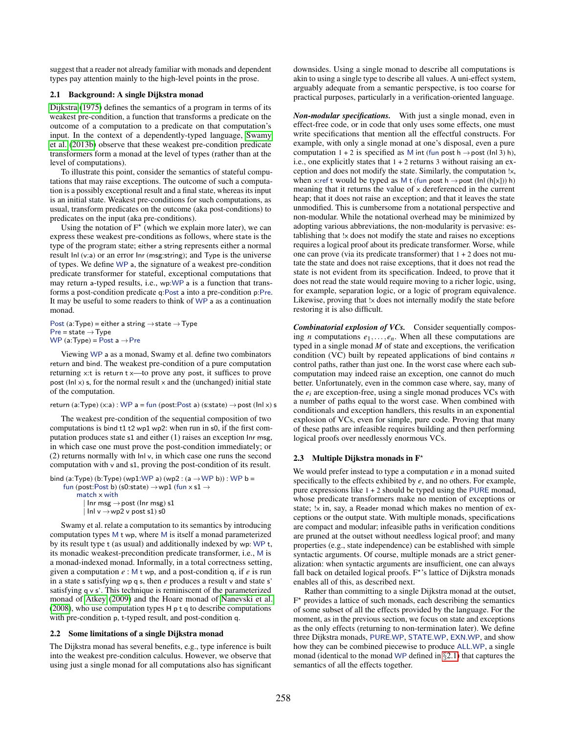suggest that a reader not already familiar with monads and dependent types pay attention mainly to the high-level points in the prose.

#### <span id="page-3-0"></span>2.1 Background: A single Dijkstra monad

[Dijkstra \(1975\)](#page-15-9) defines the semantics of a program in terms of its weakest pre-condition, a function that transforms a predicate on the outcome of a computation to a predicate on that computation's input. In the context of a dependently-typed language, [Swamy](#page-15-8) [et al. \(2013b\)](#page-15-8) observe that these weakest pre-condition predicate transformers form a monad at the level of types (rather than at the level of computations).

To illustrate this point, consider the semantics of stateful computations that may raise exceptions. The outcome of such a computation is a possibly exceptional result and a final state, whereas its input is an initial state. Weakest pre-conditions for such computations, as usual, transform predicates on the outcome (aka post-conditions) to predicates on the input (aka pre-conditions).

Using the notation of  $F^{\star}$  (which we explain more later), we can express these weakest pre-conditions as follows, where state is the type of the program state; either a string represents either a normal result Inl (v:a) or an error Inr (msg:string); and Type is the universe of types. We define WP a, the signature of a weakest pre-condition predicate transformer for stateful, exceptional computations that may return a-typed results, i.e., wp:WP a is a function that transforms a post-condition predicate q:Post a into a pre-condition p:Pre. It may be useful to some readers to think of WP a as a continuation monad.

Post (a:Type) = either a string  $\rightarrow$  state  $\rightarrow$  Type  $Pre = state \rightarrow Type$ WP (a:Type) = Post  $a \rightarrow$  Pre

Viewing WP a as a monad, Swamy et al. define two combinators return and bind. The weakest pre-condition of a pure computation returning x:t is return t x—to prove any post, it suffices to prove post (Inl  $x$ ) s, for the normal result  $x$  and the (unchanged) initial state of the computation.

#### return (a:Type) (x:a) : WP a = fun (post:Post a) (s:state)  $\rightarrow$  post (lnl x) s

The weakest pre-condition of the sequential composition of two computations is bind t1 t2 wp1 wp2: when run in s0, if the first computation produces state s1 and either (1) raises an exception Inr msg, in which case one must prove the post-condition immediately; or (2) returns normally with Inl v, in which case one runs the second computation with v and s1, proving the post-condition of its result.

```
bind (a:Type) (b:Type) (wp1:WP a) (wp2 : (a \rightarrowWP b)) : WP b =
     fun (post:Post b) (s0:state) \rightarrowwp1 (fun x s1 \rightarrowmatch x with
               lnr msg \rightarrow post (lnr msg) s1
             | \ln v \rightarrow \text{wp2} v post s1) s0
```
Swamy et al. relate a computation to its semantics by introducing computation types M t wp, where M is itself a monad parameterized by its result type t (as usual) and additionally indexed by wp: WP t, its monadic weakest-precondition predicate transformer, i.e., M is a monad-indexed monad. Informally, in a total correctness setting, given a computation *e* : M t wp, and a post-condition q, if *e* is run in a state s satisfying wp q s, then *e* produces a result v and state s' satisfying q v s'. This technique is reminiscent of the parameterized monad of [Atkey](#page-14-2) [\(2009\)](#page-14-2) and the Hoare monad of [Nanevski et al.](#page-15-4)  $(2008)$ , who use computation types H p t q to describe computations with pre-condition p, t-typed result, and post-condition q.

#### 2.2 Some limitations of a single Dijkstra monad

The Dijkstra monad has several benefits, e.g., type inference is built into the weakest pre-condition calculus. However, we observe that using just a single monad for all computations also has significant downsides. Using a single monad to describe all computations is akin to using a single type to describe all values. A uni-effect system, arguably adequate from a semantic perspective, is too coarse for practical purposes, particularly in a verification-oriented language.

*Non-modular specifications.* With just a single monad, even in effect-free code, or in code that only uses some effects, one must write specifications that mention all the effectful constructs. For example, with only a single monad at one's disposal, even a pure computation  $1 + 2$  is specified as M int (fun post h  $\rightarrow$  post (lnl 3) h), i.e., one explicitly states that  $1 + 2$  returns 3 without raising an exception and does not modify the state. Similarly, the computation !x, when x:ref t would be typed as M t (fun post h  $\rightarrow$  post (lnl (h[x])) h) meaning that it returns the value of x dereferenced in the current heap; that it does not raise an exception; and that it leaves the state unmodified. This is cumbersome from a notational perspective and non-modular. While the notational overhead may be minimized by adopting various abbreviations, the non-modularity is pervasive: establishing that !x does not modify the state and raises no exceptions requires a logical proof about its predicate transformer. Worse, while one can prove (via its predicate transformer) that  $1 + 2$  does not mutate the state and does not raise exceptions, that it does not read the state is not evident from its specification. Indeed, to prove that it does not read the state would require moving to a richer logic, using, for example, separation logic, or a logic of program equivalence. Likewise, proving that !x does not internally modify the state before restoring it is also difficult.

*Combinatorial explosion of VCs.* Consider sequentially composing *n* computations  $e_1, \ldots, e_n$ . When all these computations are typed in a single monad *M* of state and exceptions, the verification condition (VC) built by repeated applications of bind contains *n* control paths, rather than just one. In the worst case where each subcomputation may indeed raise an exception, one cannot do much better. Unfortunately, even in the common case where, say, many of the  $e_i$  are exception-free, using a single monad produces VCs with a number of paths equal to the worst case. When combined with conditionals and exception handlers, this results in an exponential explosion of VCs, even for simple, pure code. Proving that many of these paths are infeasible requires building and then performing logical proofs over needlessly enormous VCs.

#### <span id="page-3-1"></span>2.3 Multiple Dijkstra monads in  $F^*$

We would prefer instead to type a computation *e* in a monad suited specifically to the effects exhibited by *e*, and no others. For example, pure expressions like  $1 + 2$  should be typed using the PURE monad, whose predicate transformers make no mention of exceptions or state; !x in, say, a Reader monad which makes no mention of exceptions or the output state. With multiple monads, specifications are compact and modular; infeasible paths in verification conditions are pruned at the outset without needless logical proof; and many properties (e.g., state independence) can be established with simple syntactic arguments. Of course, multiple monads are a strict generalization: when syntactic arguments are insufficient, one can always fall back on detailed logical proofs. F<sup>\*</sup>'s lattice of Dijkstra monads enables all of this, as described next.

Rather than committing to a single Dijkstra monad at the outset, F <sup>⋆</sup> provides a lattice of such monads, each describing the semantics of some subset of all the effects provided by the language. For the moment, as in the previous section, we focus on state and exceptions as the only effects (returning to non-termination later). We define three Dijkstra monads, PURE.WP, STATE.WP, EXN.WP, and show how they can be combined piecewise to produce ALL.WP, a single monad (identical to the monad WP defined in §[2.1\)](#page-3-0) that captures the semantics of all the effects together.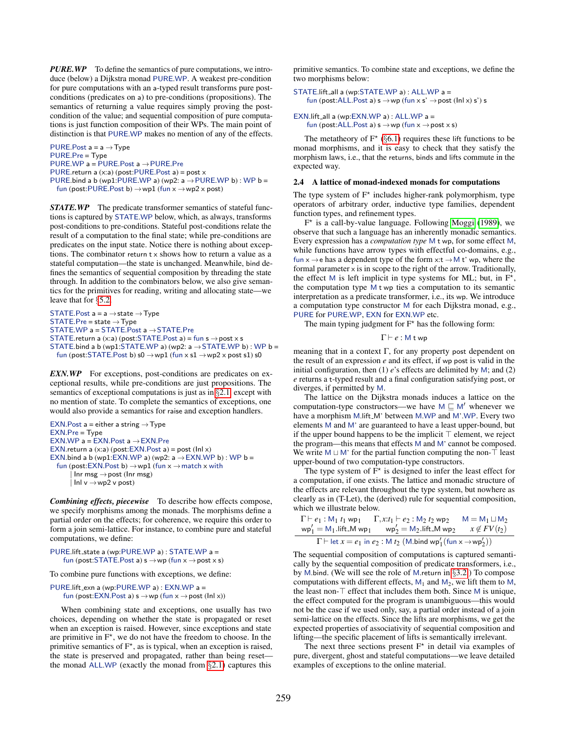*PURE.WP* To define the semantics of pure computations, we introduce (below) a Dijkstra monad PURE.WP. A weakest pre-condition for pure computations with an a-typed result transforms pure postconditions (predicates on a) to pre-conditions (propositions). The semantics of returning a value requires simply proving the postcondition of the value; and sequential composition of pure computations is just function composition of their WPs. The main point of distinction is that PURE.WP makes no mention of any of the effects.

PURE.Post  $a = a \rightarrow Type$ PURE.Pre = Type PURE.WP a = PURE.Post a →PURE.Pre PURE.return a (x:a) (post:PURE.Post a) = post x PURE.bind a b (wp1:PURE.WP a) (wp2:  $a \rightarrow$  PURE.WP b) : WP b = fun (post:PURE.Post b)  $\rightarrow$ wp1 (fun x  $\rightarrow$ wp2 x post)

*STATE.WP* The predicate transformer semantics of stateful functions is captured by STATE.WP below, which, as always, transforms post-conditions to pre-conditions. Stateful post-conditions relate the result of a computation to the final state; while pre-conditions are predicates on the input state. Notice there is nothing about exceptions. The combinator return t x shows how to return a value as a stateful computation—the state is unchanged. Meanwhile, bind defines the semantics of sequential composition by threading the state through. In addition to the combinators below, we also give semantics for the primitives for reading, writing and allocating state—we leave that for §[5.2.](#page-8-1)

```
STATE.Post a = a \rightarrow state \rightarrow TypeSTATE.Pre = state \rightarrow TypeSTATE.WP a = STATE.Post a \rightarrow STATE.Pre
STATE.return a (x:a) (post:STATE.Post a) = fun s \rightarrow post x s
STATE.bind a b (wp1:STATE.WP a) (wp2: a \rightarrow STATE.WP b) : WP b =
  fun (post:STATE.Post b) s0 \rightarrowwp1 (fun x s1 \rightarrowwp2 x post s1) s0
```
**EXN.WP** For exceptions, post-conditions are predicates on exceptional results, while pre-conditions are just propositions. The semantics of exceptional computations is just as in §[2.1,](#page-3-0) except with no mention of state. To complete the semantics of exceptions, one would also provide a semantics for raise and exception handlers.

```
EXN.Post a = either a string \rightarrow Type
EXN.Pre = Type
EXN.WP a = EXN.Post a →EXN.Pre
EXN.return a (x:a) (post: EXN. Post a) = post (Inl x)
EXN.bind a b (wp1:EXN.WP a) (wp2: a \rightarrow EXN.WP b) : WP b =
  fun (post:EXN.Post b) \rightarrow wp1 (fun x \rightarrow match x with
        lnr msg \rightarrow post (lnr msg)
        lnl v \rightarrow wp2 v post
```
*Combining effects, piecewise* To describe how effects compose, we specify morphisms among the monads. The morphisms define a partial order on the effects; for coherence, we require this order to form a join semi-lattice. For instance, to combine pure and stateful computations, we define:

```
PURE.lift_state a (wp:PURE.WP a) : STATE.WP a =
    fun (post:STATE.Post a) s \rightarrow wp (fun x \rightarrow post \times s)
```
To combine pure functions with exceptions, we define:

```
PURE.lift_exn a (wp:PURE.WP a) : EXN.WP a =
    fun (post:EXN.Post a) s \rightarrow wp (fun x \rightarrow post (lnl x))
```
When combining state and exceptions, one usually has two choices, depending on whether the state is propagated or reset when an exception is raised. However, since exceptions and state are primitive in  $F^*$ , we do not have the freedom to choose. In the primitive semantics of  $F^*$ , as is typical, when an exception is raised, the state is preserved and propagated, rather than being reset the monad ALL.WP (exactly the monad from  $\S$ [2.1\)](#page-3-0) captures this

primitive semantics. To combine state and exceptions, we define the two morphisms below:

```
STATE.lift all a (wp:STATE.WP a) : ALL.WP a =
    fun (post:ALL.Post a) s \rightarrow wp (fun x s' \rightarrow post (lnl x) s') s
```

```
EXN.lift_all a (wp:EXN.WP a) : ALL.WP a =
    fun (post:ALL.Post a) s \rightarrow wp (fun x \rightarrow post \times s)
```
The metatheory of  $F^*$  (§[6.1\)](#page-10-0) requires these lift functions to be monad morphisms, and it is easy to check that they satisfy the morphism laws, i.e., that the returns, binds and lifts commute in the expected way.

#### 2.4 A lattice of monad-indexed monads for computations

The type system of  $F^*$  includes higher-rank polymorphism, type operators of arbitrary order, inductive type families, dependent function types, and refinement types.

F ⋆ is a call-by-value language. Following [Moggi](#page-15-10) [\(1989\)](#page-15-10), we observe that such a language has an inherently monadic semantics. Every expression has a *computation type* M t wp, for some effect M, while functions have arrow types with effectful co-domains, e.g., fun  $x \rightarrow e$  has a dependent type of the form  $x:t \rightarrow M t'$  wp, where the formal parameter  $\times$  is in scope to the right of the arrow. Traditionally, the effect M is left implicit in type systems for ML; but, in  $F^{\star}$ , the computation type M t wp ties a computation to its semantic interpretation as a predicate transformer, i.e., its wp. We introduce a computation type constructor M for each Dijkstra monad, e.g., PURE for PURE.WP, EXN for EXN.WP etc.

The main typing judgment for  $F^*$  has the following form:

$$
\Gamma \vdash e : \mathsf{M} \mathsf{t} \mathsf{wp}
$$

meaning that in a context  $\Gamma$ , for any property post dependent on the result of an expression *e* and its effect, if wp post is valid in the initial configuration, then (1) *e*'s effects are delimited by M; and (2) *e* returns a t-typed result and a final configuration satisfying post, or diverges, if permitted by M.

The lattice on the Dijkstra monads induces a lattice on the computation-type constructors—we have  $M \sqsubseteq M'$  whenever we have a morphism M.lift\_M' between M.WP and M'.WP. Every two elements M and M' are guaranteed to have a least upper-bound, but if the upper bound happens to be the implicit ⊤ element, we reject the program—this means that effects M and M' cannot be composed. We write M  $\sqcup$  M' for the partial function computing the non-⊤ least upper-bound of two computation-type constructors.

The type system of  $\hat{F}^{\star}$  is designed to infer the least effect for a computation, if one exists. The lattice and monadic structure of the effects are relevant throughout the type system, but nowhere as clearly as in (T-Let), the (derived) rule for sequential composition, which we illustrate below.

$$
\Gamma \vdash e_1: \mathsf{M}_1 \; t_1 \; \mathsf{wp}_1 \newline \hspace*{1.5em} \quad \Gamma, x \mathpunct{:} t_1 \vdash e_2: \mathsf{M}_2 \; t_2 \; \mathsf{wp}_2 \newline \hspace*{1.5em} \quad \mathsf{M} = \mathsf{M}_1 \sqcup \mathsf{M}_2 \newline \hspace*{1.5em} \mathsf{wp}_1' = \mathsf{M}_1.\mathsf{lift}\_ \mathsf{M} \; \mathsf{wp}_1 \newline \hspace*{1.5em} \quad \mathsf{wp}_2' = \mathsf{M}_2.\mathsf{lift}\_ \mathsf{M} \; \mathsf{wp}_2 \newline \hspace*{1.5em} \quad x \not\in FV(t_2) \newline \hspace*{1.5em} \Gamma \vdash \mathsf{let} \; x = e_1 \; \mathsf{in} \; e_2: \mathsf{M} \; t_2 \; \big( \mathsf{M}.\mathsf{bind} \; \mathsf{wp}_1' \big( \mathsf{fun} \; x \rightarrow \mathsf{wp}_2' \big) \big)
$$

The sequential composition of computations is captured semantically by the sequential composition of predicate transformers, i.e., by M.bind. (We will see the role of M.return in §[3.2.](#page-6-1)) To compose computations with different effects,  $M_1$  and  $M_2$ , we lift them to M, the least non-⊤ effect that includes them both. Since M is unique, the effect computed for the program is unambiguous—this would not be the case if we used only, say, a partial order instead of a join semi-lattice on the effects. Since the lifts are morphisms, we get the expected properties of associativity of sequential composition and lifting—the specific placement of lifts is semantically irrelevant.

The next three sections present  $F^*$  in detail via examples of pure, divergent, ghost and stateful computations—we leave detailed examples of exceptions to the online material.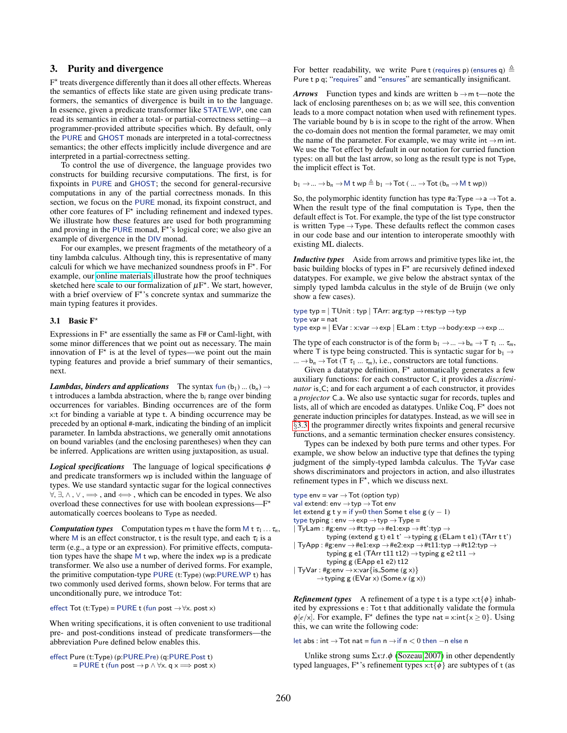#### <span id="page-5-0"></span>3. Purity and divergence

F<sup>\*</sup> treats divergence differently than it does all other effects. Whereas the semantics of effects like state are given using predicate transformers, the semantics of divergence is built in to the language. In essence, given a predicate transformer like STATE.WP, one can read its semantics in either a total- or partial-correctness setting—a programmer-provided attribute specifies which. By default, only the PURE and GHOST monads are interpreted in a total-correctness semantics; the other effects implicitly include divergence and are interpreted in a partial-correctness setting.

To control the use of divergence, the language provides two constructs for building recursive computations. The first, is for fixpoints in PURE and GHOST; the second for general-recursive computations in any of the partial correctness monads. In this section, we focus on the PURE monad, its fixpoint construct, and other core features of  $F^*$  including refinement and indexed types. We illustrate how these features are used for both programming and proving in the PURE monad,  $F^*$ 's logical core; we also give an example of divergence in the DIV monad.

For our examples, we present fragments of the metatheory of a tiny lambda calculus. Although tiny, this is representative of many calculi for which we have mechanized soundness proofs in F<sup>\*</sup>. For example, our [online materials](https://www.fstar-lang.org/papers/mumon/artifacts/#metatheory) illustrate how the proof techniques sketched here scale to our formalization of  $\mu$ F<sup>\*</sup>. We start, however, with a brief overview of  $F^*$ 's concrete syntax and summarize the main typing features it provides.

#### <span id="page-5-1"></span>3.1 Basic  $F^*$

Expressions in  $F^*$  are essentially the same as  $F#$  or Caml-light, with some minor differences that we point out as necessary. The main innovation of  $F^*$  is at the level of types—we point out the main typing features and provide a brief summary of their semantics, next.

*Lambdas, binders and applications* The syntax fun  $(b_1)$  ...  $(b_n) \rightarrow$ t introduces a lambda abstraction, where the b*<sup>i</sup>* range over binding occurrences for variables. Binding occurrences are of the form x:t for binding a variable at type t. A binding occurrence may be preceded by an optional #-mark, indicating the binding of an implicit parameter. In lambda abstractions, we generally omit annotations on bound variables (and the enclosing parentheses) when they can be inferred. Applications are written using juxtaposition, as usual.

*Logical specifications* The language of logical specifications φ and predicate transformers wp is included within the language of types. We use standard syntactic sugar for the logical connectives  $\forall, \exists, \wedge, \vee, \Longrightarrow$ , and  $\Longleftrightarrow$ , which can be encoded in types. We also overload these connectives for use with boolean expressions— $F^*$ automatically coerces booleans to Type as needed.

*Computation types* Computation types m t have the form M t  $\tau_1 \ldots \tau_n$ , where M is an effect constructor, t is the result type, and each  $\tau_i$  is a term (e.g., a type or an expression). For primitive effects, computation types have the shape M t wp, where the index wp is a predicate transformer. We also use a number of derived forms. For example, the primitive computation-type PURE (t:Type) (wp:PURE.WP t) has two commonly used derived forms, shown below. For terms that are unconditionally pure, we introduce Tot:

effect Tot (t:Type) = PURE t (fun post  $\rightarrow \forall x.$  post x)

When writing specifications, it is often convenient to use traditional pre- and post-conditions instead of predicate transformers—the abbreviation Pure defined below enables this.

effect Pure (t:Type) (p:PURE.Pre) (q:PURE.Post t)  $=$  PURE t (fun post  $\rightarrow$  p  $\land$   $\forall$ x. q  $x \Longrightarrow$  post x) For better readability, we write Pure t (requires p) (ensures q)  $\triangleq$ Pure t p q; "requires" and "ensures" are semantically insignificant.

*Arrows* Function types and kinds are written  $b \rightarrow m t$ —note the lack of enclosing parentheses on b; as we will see, this convention leads to a more compact notation when used with refinement types. The variable bound by b is in scope to the right of the arrow. When the co-domain does not mention the formal parameter, we may omit the name of the parameter. For example, we may write  $int \rightarrow m$  int. We use the Tot effect by default in our notation for curried function types: on all but the last arrow, so long as the result type is not Type, the implicit effect is Tot.

 $b_1 \rightarrow ... \rightarrow b_n \rightarrow M$  t wp  $\triangleq b_1 \rightarrow \text{Tot}$  ( ...  $\rightarrow \text{Tot}$  ( $b_n \rightarrow M$  t wp))

So, the polymorphic identity function has type  $#a$ : Type  $\rightarrow a \rightarrow \text{Tot } a$ . When the result type of the final computation is Type, then the default effect is Tot. For example, the type of the list type constructor is written Type  $\rightarrow$  Type. These defaults reflect the common cases in our code base and our intention to interoperate smoothly with existing ML dialects.

*Inductive types* Aside from arrows and primitive types like int, the basic building blocks of types in  $F^*$  are recursively defined indexed datatypes. For example, we give below the abstract syntax of the simply typed lambda calculus in the style of de Bruijn (we only show a few cases).

type typ =  $|$  TUnit : typ  $|$  TArr: arg:typ  $\rightarrow$  res:typ  $\rightarrow$  typ type var = nat

type  $\exp = |\to \text{Var} : x:\text{var} \to \exp |\to \text{Edm} : t:\text{typ} \to \text{body} : \exp \to \exp ...$ 

The type of each constructor is of the form  $b_1 \rightarrow ... \rightarrow b_n \rightarrow T \tau_1 ... \tau_m$ , where T is type being constructed. This is syntactic sugar for  $b_1 \rightarrow$ ...  $\rightarrow b_n \rightarrow \text{Tot } (T \tau_1 ... \tau_m)$ , i.e., constructors are total functions.

Given a datatype definition,  $F^*$  automatically generates a few auxiliary functions: for each constructor C, it provides a *discriminator* is  $\subset$ ; and for each argument a of each constructor, it provides a *projector* C.a. We also use syntactic sugar for records, tuples and lists, all of which are encoded as datatypes. Unlike Coq,  $F^*$  does not generate induction principles for datatypes. Instead, as we will see in §[3.3,](#page-6-0) the programmer directly writes fixpoints and general recursive functions, and a semantic termination checker ensures consistency.

Types can be indexed by both pure terms and other types. For example, we show below an inductive type that defines the typing judgment of the simply-typed lambda calculus. The TyVar case shows discriminators and projectors in action, and also illustrates refinement types in  $F^*$ , which we discuss next.

```
type env = var \rightarrow Tot (option typ)
val extend: env \rightarrow typ \rightarrow Tot env
let extend g t y = if y=0 then Some t else g (y - 1)type typing : env \rightarrowexp \rightarrowtyp \rightarrowType =
|\textrm{ TyLam}: \texttt{\#g:env}\rightarrow \texttt{\#t:typ} \rightarrow \texttt{\#e1:exp} \rightarrow \texttt{\#t':typ} \rightarrowtyping (extend g t) e1 t' \rightarrow typing g (ELam t e1) (TArr t t')
| TyApp : #g:env \rightarrow #e1:exp \rightarrow #e2:exp \rightarrow #t11:typ \rightarrow #t12:typ \rightarrowtyping g e1 (TArr t11 t12) \rightarrow typing g e2 t11 \rightarrowtyping g (EApp e1 e2) t12
| TyVar : #g:env \rightarrowx:var{is_Some (g x)}
           \rightarrowtyping g (EVar x) (Some.v (g x))
```
*Refinement types* A refinement of a type t is a type  $x:t\{\phi\}$  inhabited by expressions e : Tot t that additionally validate the formula  $\phi[e/x]$ . For example, F<sup>\*</sup> defines the type nat = x:int{x \le 0}. Using this, we can write the following code:

let abs : int  $\rightarrow$  Tot nat = fun n  $\rightarrow$  if n < 0 then −n else n

Unlike strong sums Σ*x*:*t*.φ [\(Sozeau 2007\)](#page-15-11) in other dependently typed languages,  $F^*$ 's refinement types  $x:t\{\phi\}$  are subtypes of t (as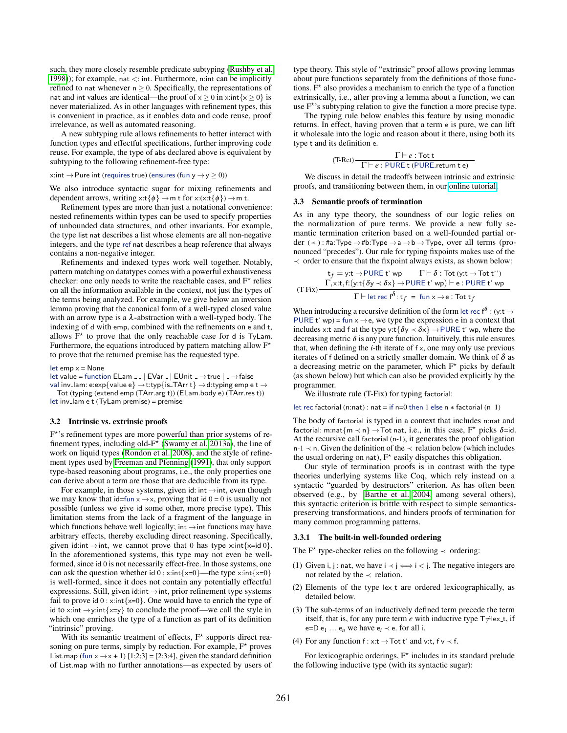such, they more closely resemble predicate subtyping [\(Rushby et al.](#page-15-12) [1998\)](#page-15-12)); for example, nat  $\lt$ : int. Furthermore, n: int can be implicitly refined to nat whenever  $n \geq 0$ . Specifically, the representations of nat and int values are identical—the proof of  $x \ge 0$  in x:int $\{x \ge 0\}$  is never materialized. As in other languages with refinement types, this is convenient in practice, as it enables data and code reuse, proof irrelevance, as well as automated reasoning.

A new subtyping rule allows refinements to better interact with function types and effectful specifications, further improving code reuse. For example, the type of abs declared above is equivalent by subtyping to the following refinement-free type:

#### x:int  $\rightarrow$  Pure int (requires true) (ensures (fun y  $\rightarrow$  y  $\ge$  0))

We also introduce syntactic sugar for mixing refinements and dependent arrows, writing  $x:t\{\phi\} \rightarrow m t$  for  $x:(x:t\{\phi\}) \rightarrow m t$ .

Refinement types are more than just a notational convenience: nested refinements within types can be used to specify properties of unbounded data structures, and other invariants. For example, the type list nat describes a list whose elements are all non-negative integers, and the type ref nat describes a heap reference that always contains a non-negative integer.

Refinements and indexed types work well together. Notably, pattern matching on datatypes comes with a powerful exhaustiveness checker: one only needs to write the reachable cases, and  $F^*$  relies on all the information available in the context, not just the types of the terms being analyzed. For example, we give below an inversion lemma proving that the canonical form of a well-typed closed value with an arrow type is a  $\lambda$ -abstraction with a well-typed body. The indexing of d with emp, combined with the refinements on e and t, allows  $\overline{F}^*$  to prove that the only reachable case for d is TyLam. Furthermore, the equations introduced by pattern matching allow  $F^*$ to prove that the returned premise has the requested type.

let  $emp x = None$ 

let value = function ELam \_ \_ | EVar \_ | EUnit \_  $\rightarrow$  true | \_  $\rightarrow$  false val inv\_lam: e:exp{value e}  $\rightarrow$ t:typ{is\_TArr t}  $\rightarrow$  d:typing emp e t  $\rightarrow$ Tot (typing (extend emp (TArr.arg t)) (ELam.body e) (TArr.res t)) let inv lam e t (TyLam premise) = premise

#### <span id="page-6-1"></span>3.2 Intrinsic vs. extrinsic proofs

F ⋆ 's refinement types are more powerful than prior systems of refinement types, including old- $F^*$  [\(Swamy et al. 2013a\)](#page-15-5), the line of work on liquid types [\(Rondon et al. 2008\)](#page-15-13), and the style of refinement types used by [Freeman and Pfenning](#page-15-14) [\(1991\)](#page-15-14), that only support type-based reasoning about programs, i.e., the only properties one can derive about a term are those that are deducible from its type.

For example, in those systems, given id: int  $\rightarrow$  int, even though we may know that id=fun  $x \rightarrow x$ , proving that id  $0 = 0$  is usually not possible (unless we give id some other, more precise type). This limitation stems from the lack of a fragment of the language in which functions behave well logically; int  $\rightarrow$  int functions may have arbitrary effects, thereby excluding direct reasoning. Specifically, given id:int  $\rightarrow$  int, we cannot prove that 0 has type x:int{x=id 0}. In the aforementioned systems, this type may not even be wellformed, since id 0 is not necessarily effect-free. In those systems, one can ask the question whether id  $0 : x:int\{x=0\}$ —the type  $x:int\{x=0\}$ is well-formed, since it does not contain any potentially effectful expressions. Still, given id:int  $\rightarrow$  int, prior refinement type systems fail to prove id  $0: x:int\{x=0\}$ . One would have to enrich the type of id to x:int  $\rightarrow$  y:int $\{x=y\}$  to conclude the proof—we call the style in which one enriches the type of a function as part of its definition "intrinsic" proving.

With its semantic treatment of effects,  $F^*$  supports direct reasoning on pure terms, simply by reduction. For example,  $F^*$  proves List.map (fun  $x \rightarrow x + 1$ ) [1;2;3] = [2;3;4], given the standard definition of List.map with no further annotations—as expected by users of type theory. This style of "extrinsic" proof allows proving lemmas about pure functions separately from the definitions of those functions.  $F^*$  also provides a mechanism to enrich the type of a function extrinsically, i.e., after proving a lemma about a function, we can use  $F^*$ 's subtyping relation to give the function a more precise type.

The typing rule below enables this feature by using monadic returns. In effect, having proven that a term e is pure, we can lift it wholesale into the logic and reason about it there, using both its type t and its definition e.

$$
\frac{\Gamma \vdash e : \text{Tot t}}{\Gamma \vdash e : \text{PURE t (PURE. return t e)}}
$$

We discuss in detail the tradeoffs between intrinsic and extrinsic proofs, and transitioning between them, in our [online tutorial.](https://fstar-lang.org/tutorial/tutorial.html#sec-to-type-intrinsically-or-to-prove-lemmas)

#### <span id="page-6-0"></span>3.3 Semantic proofs of termination

As in any type theory, the soundness of our logic relies on the normalization of pure terms. We provide a new fully semantic termination criterion based on a well-founded partial order  $(\prec)$ : #a:Type  $\rightarrow$  #b:Type  $\rightarrow$  a  $\rightarrow$  b  $\rightarrow$  Type, over all terms (pronounced "precedes"). Our rule for typing fixpoints makes use of the  $\prec$  order to ensure that the fixpoint always exists, as shown below:

$$
t_f = y:t \rightarrow \text{PURE t' wp} \qquad \Gamma \vdash \delta : \text{Tot (y:t } \rightarrow \text{Tot t'')}
$$
  
(T-Fix) 
$$
\frac{\Gamma, x:t, f:(y:t\{\delta y \prec \delta x\} \rightarrow \text{PURE t' wp}) \vdash e : \text{PURE t' wp}}{\Gamma \vdash \text{let rec } f^{\delta}: t_f = \text{fun } x \rightarrow e : \text{Tot } t_f}
$$

When introducing a recursive definition of the form let rec f<sup> $\delta$ </sup> : (y:t  $\rightarrow$ PURE t' wp) = fun  $x \rightarrow e$ , we type the expression e in a context that includes x:t and f at the type y:t{ $\delta y \prec \delta x$ }  $\rightarrow$  PURE t' wp, where the decreasing metric  $\delta$  is any pure function. Intuitively, this rule ensures that, when defining the *i*-th iterate of f x, one may only use previous iterates of f defined on a strictly smaller domain. We think of  $\delta$  as a decreasing metric on the parameter, which  $F^*$  picks by default (as shown below) but which can also be provided explicitly by the programmer.

We illustrate rule (T-Fix) for typing factorial:

let rec factorial (n:nat) : nat = if n=0 then 1 else n  $*$  factorial (n 1)

The body of factorial is typed in a context that includes n:nat and factorial: m:nat $\{m \prec n\} \rightarrow$  Tot nat, i.e., in this case,  $F^*$  picks  $\delta$ =id. At the recursive call factorial (n-1), it generates the proof obligation n-1  $\prec$  n. Given the definition of the  $\prec$  relation below (which includes the usual ordering on nat),  $F^*$  easily dispatches this obligation.

Our style of termination proofs is in contrast with the type theories underlying systems like Coq, which rely instead on a syntactic "guarded by destructors" criterion. As has often been observed (e.g., by [Barthe et al. 2004,](#page-14-3) among several others), this syntactic criterion is brittle with respect to simple semanticspreserving transformations, and hinders proofs of termination for many common programming patterns.

#### 3.3.1 The built-in well-founded ordering

The  $F^*$  type-checker relies on the following  $\prec$  ordering:

- (1) Given i, j : nat, we have  $i \prec j \Longleftrightarrow i \prec j$ . The negative integers are not related by the  $\prec$  relation.
- (2) Elements of the type lex\_t are ordered lexicographically, as detailed below.
- (3) The sub-terms of an inductively defined term precede the term itself, that is, for any pure term *e* with inductive type  $T \neq$ lex t, if e=D e<sub>1</sub> ... e<sub>n</sub> we have e<sub>i</sub>  $\prec$  e. for all i.
- (4) For any function  $f : x:t \to \text{Tot } t'$  and v:t,  $f v \prec f$ .

For lexicographic orderings,  $F^*$  includes in its standard prelude the following inductive type (with its syntactic sugar):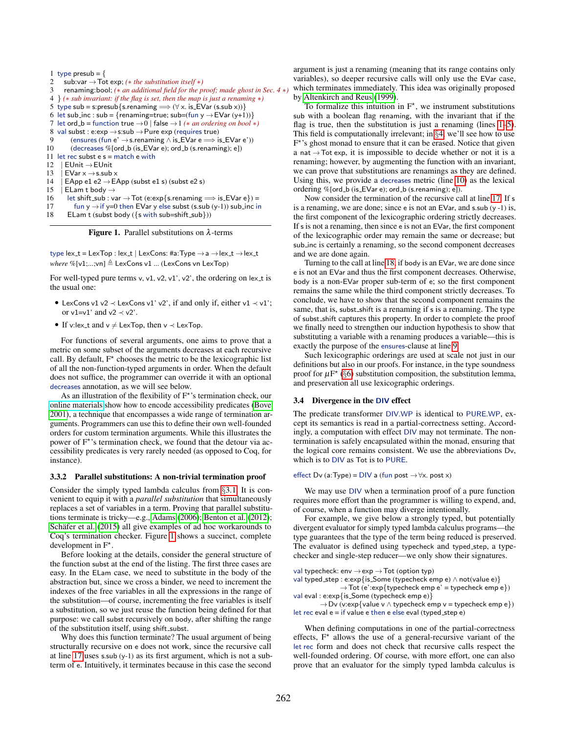```
1 type presub = {
 2 sub:var →Tot exp; (∗ the substitution itself ∗)
      3 renaming:bool; (∗ an additional field for the proof; made ghost in Sec. 4 ∗)
 4 } (∗ sub invariant: if the flag is set, then the map is just a renaming ∗)
 5 type sub = s:presub{s.renaming \implies (\forall x. is EVar (s.sub x))}
 6 let sub_inc : sub = {renaming=true; sub=(fun y \rightarrow EVar (y+1))}
 7 let ord_b = function true \rightarrow 0 | false \rightarrow 1 (* an ordering on bool *)
 8 val subst : e:exp \rightarrow s:sub \rightarrow Pure exp (requires true)
         (ensures (fun e' \rightarrows.renaming \land is EVar e \Longrightarrow is EVar e'))
10 (decreases %[ord_b (is_EVar e); ord_b (s.renaming); e])
11 let rec subst e s = match e with
12 | FUnit \rightarrow FUnit
13 | EVar x \rightarrow s.sub x<br>14 | EApp e1 e2 \rightarrow E
      EApp e1 e2 \rightarrow EApp (subst e1 s) (subst e2 s)
15 | ELam t body \rightarrow16 let shift_sub : var \rightarrow Tot (e:exp{s.renaming \Longrightarrow is_EVar e}) =
17 fun y \rightarrow if y=0 then EVar y else subst (s.sub (y-1)) sub inc in
18 ELam t (subst body ({s with sub=shift_sub}))
```
<span id="page-7-5"></span><span id="page-7-1"></span><span id="page-7-0"></span>**Figure 1.** Parallel substitutions on  $\lambda$ -terms

type lex\_t = LexTop : lex\_t | LexCons: #a:Type  $\rightarrow$  a  $\rightarrow$  lex\_t  $\rightarrow$  lex\_t *where* %[v1;...;vn] ≜ LexCons v1 ... (LexCons vn LexTop)

For well-typed pure terms v, v1, v2, v1', v2', the ordering on lex t is the usual one:

- LexCons v1 v2  $\prec$  LexCons v1' v2', if and only if, either v1  $\prec$  v1'; or  $v1=v1'$  and  $v2 \prec v2'$ .
- If v:lex\_t and  $v \neq$  LexTop, then  $v \prec$  LexTop.

For functions of several arguments, one aims to prove that a metric on some subset of the arguments decreases at each recursive call. By default,  $F^*$  chooses the metric to be the lexicographic list of all the non-function-typed arguments in order. When the default does not suffice, the programmer can override it with an optional decreases annotation, as we will see below.

As an illustration of the flexibility of  $F^*$ 's termination check, our [online materials](https://www.fstar-lang.org/papers/mumon/artifacts/#accessibility) show how to encode accessibility predicates [\(Bove](#page-14-4) [2001\)](#page-14-4), a technique that encompasses a wide range of termination arguments. Programmers can use this to define their own well-founded orders for custom termination arguments. While this illustrates the power of  $F^*$ 's termination check, we found that the detour via accessibility predicates is very rarely needed (as opposed to Coq, for instance).

#### 3.3.2 Parallel substitutions: A non-trivial termination proof

Consider the simply typed lambda calculus from §[3.1.](#page-5-1) It is convenient to equip it with a *parallel substitution* that simultaneously replaces a set of variables in a term. Proving that parallel substitutions terminate is tricky—e.g., [Adams \(2006\)](#page-14-5); [Benton et al.](#page-14-6) [\(2012\)](#page-14-6); Schäfer et al.  $(2015)$  all give examples of ad hoc workarounds to Coq's termination checker. Figure [1](#page-7-0) shows a succinct, complete development in  $F^*$ .

Before looking at the details, consider the general structure of the function subst at the end of the listing. The first three cases are easy. In the ELam case, we need to substitute in the body of the abstraction but, since we cross a binder, we need to increment the indexes of the free variables in all the expressions in the range of the substitution—of course, incrementing the free variables is itself a substitution, so we just reuse the function being defined for that purpose: we call subst recursively on body, after shifting the range of the substitution itself, using shift\_subst.

Why does this function terminate? The usual argument of being structurally recursive on e does not work, since the recursive call at line [17](#page-7-1) uses s.sub  $(y-1)$  as its first argument, which is not a subterm of e. Intuitively, it terminates because in this case the second argument is just a renaming (meaning that its range contains only variables), so deeper recursive calls will only use the EVar case, which terminates immediately. This idea was originally proposed by [Altenkirch and Reus \(1999\)](#page-14-7).

To formalize this intuition in  $F^*$ , we instrument substitutions sub with a boolean flag renaming, with the invariant that if the flag is true, then the substitution is just a renaming (lines [1–](#page-7-2)[5\)](#page-7-3). This field is computationally irrelevant; in §[4,](#page-8-2) we'll see how to use F<sup>\*</sup>'s ghost monad to ensure that it can be erased. Notice that given a nat  $\rightarrow$  Tot exp, it is impossible to decide whether or not it is a renaming; however, by augmenting the function with an invariant, we can prove that substitutions are renamings as they are defined. Using this, we provide a decreases metric (line [10\)](#page-7-4) as the lexical ordering  $%$  [ord\_b (is\_EVar e); ord\_b (s.renaming); e]).

Now consider the termination of the recursive call at line [17.](#page-7-1) If s is a renaming, we are done; since  $\epsilon$  is not an EVar, and s.sub (y -1) is, the first component of the lexicographic ordering strictly decreases. If s is not a renaming, then since e is not an EVar, the first component of the lexicographic order may remain the same or decrease; but sub inc is certainly a renaming, so the second component decreases and we are done again.

Turning to the call at line [18,](#page-7-5) if body is an EVar, we are done since e is not an EVar and thus the first component decreases. Otherwise, body is a non-EVar proper sub-term of e; so the first component remains the same while the third component strictly decreases. To conclude, we have to show that the second component remains the same, that is, subst-shift is a renaming if s is a renaming. The type of subst shift captures this property. In order to complete the proof we finally need to strengthen our induction hypothesis to show that substituting a variable with a renaming produces a variable—this is exactly the purpose of the ensures-clause at line [9.](#page-7-6)

Such lexicographic orderings are used at scale not just in our definitions but also in our proofs. For instance, in the type soundness proof for  $\mu$ F<sup>\*</sup> (§[6\)](#page-10-1) substitution composition, the substitution lemma, and preservation all use lexicographic orderings.

#### 3.4 Divergence in the DIV effect

The predicate transformer DIV.WP is identical to PURE.WP, except its semantics is read in a partial-correctness setting. Accordingly, a computation with effect DIV may not terminate. The nontermination is safely encapsulated within the monad, ensuring that the logical core remains consistent. We use the abbreviations Dv, which is to DIV as Tot is to PURE.

#### effect Dv (a:Type) = DIV a (fun post  $\rightarrow \forall x.$  post x)

We may use DIV when a termination proof of a pure function requires more effort than the programmer is willing to expend, and, of course, when a function may diverge intentionally.

For example, we give below a strongly typed, but potentially divergent evaluator for simply typed lambda calculus programs—the type guarantees that the type of the term being reduced is preserved. The evaluator is defined using typecheck and typed step, a typechecker and single-step reducer—we only show their signatures.

```
val typecheck: env \rightarrowexp \rightarrow Tot (option typ)
```
val typed\_step : e:exp{is\_Some (typecheck emp e)  $\land$  not(value e)}  $\rightarrow$  Tot (e':exp{typecheck emp e' = typecheck emp e})

val eval : e:exp{is\_Some (typecheck emp e)}

 $\rightarrow$  Dv (v:exp{value v  $\land$  typecheck emp v = typecheck emp e}) let rec eval  $e = if$  value  $e$  then  $e$  else eval (typed\_step  $e$ )

When defining computations in one of the partial-correctness effects,  $F^*$  allows the use of a general-recursive variant of the let rec form and does not check that recursive calls respect the well-founded ordering. Of course, with more effort, one can also prove that an evaluator for the simply typed lambda calculus is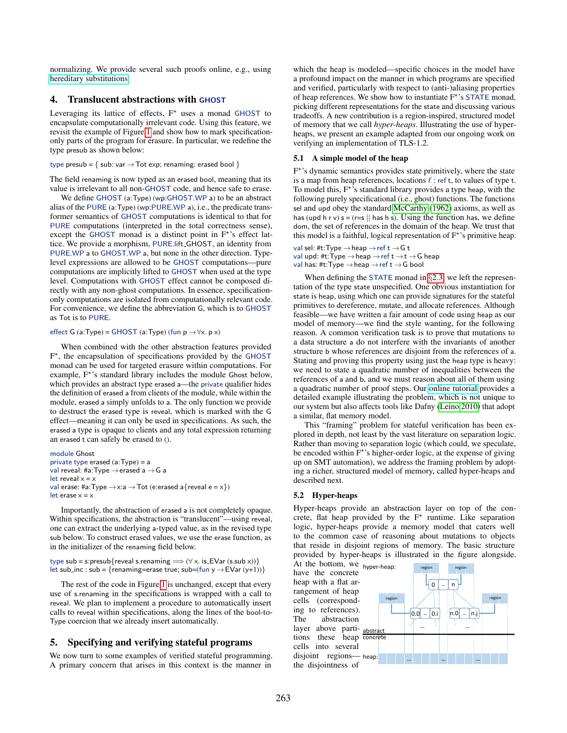normalizing. We provide several such proofs online, e.g., using [hereditary substitutions.](https://www.fstar-lang.org/papers/mumon/artifacts/#hereditary)

#### <span id="page-8-2"></span>4. Translucent abstractions with GHOST

Leveraging its lattice of effects,  $F^*$  uses a monad GHOST to encapsulate computationally irrelevant code. Using this feature, we revisit the example of Figure [1](#page-7-0) and show how to mark specificationonly parts of the program for erasure. In particular, we redefine the type presub as shown below:

#### type presub =  $\{$  sub: var  $\rightarrow$  Tot exp; renaming: erased bool  $\}$

The field renaming is now typed as an erased bool, meaning that its value is irrelevant to all non-GHOST code, and hence safe to erase.

We define GHOST (a:Type) (wp:GHOST.WP a) to be an abstract alias of the PURE (a:Type) (wp:PURE.WP a), i.e., the predicate transformer semantics of GHOST computations is identical to that for PURE computations (interpreted in the total correctness sense), except the GHOST monad is a distinct point in  $F^*$ 's effect lattice. We provide a morphism, PURE.lift GHOST, an identity from PURE.WP a to GHOST.WP a, but none in the other direction. Typelevel expressions are allowed to be GHOST computations—pure computations are implicitly lifted to GHOST when used at the type level. Computations with GHOST effect cannot be composed directly with any non-ghost computations. In essence, specificationonly computations are isolated from computationally relevant code. For convenience, we define the abbreviation G, which is to GHOST as Tot is to PURE.

#### effect G (a:Type) = GHOST (a:Type) (fun  $p \rightarrow \forall x. p x$ )

When combined with the other abstraction features provided F ⋆ , the encapsulation of specifications provided by the GHOST monad can be used for targeted erasure within computations. For example, F<sup>\*</sup>'s standard library includes the module Ghost below, which provides an abstract type erased a—the private qualifier hides the definition of erased a from clients of the module, while within the module, erased a simply unfolds to a. The only function we provide to destruct the erased type is reveal, which is marked with the G effect—meaning it can only be used in specifications. As such, the erased a type is opaque to clients and any total expression returning an erased t can safely be erased to ().

module Ghost private type erased (a:Type) = a val reveal: #a:Type  $\rightarrow$  erased a  $\rightarrow$  G a let reveal  $x = x$ val erase: #a:Type  $\rightarrow$ x:a  $\rightarrow$  Tot (e:erased a{reveal e = x}) let erase  $x = x$ 

Importantly, the abstraction of erased a is not completely opaque. Within specifications, the abstraction is "translucent"—using reveal, one can extract the underlying a-typed value, as in the revised type sub below. To construct erased values, we use the erase function, as in the initializer of the renaming field below.

type sub = s:presub{reveal s.renaming  $\implies$  ( $\forall$  x. is EVar (s.sub x))} let sub\_inc : sub = {renaming=erase true; sub=(fun y  $\rightarrow$  EVar (y+1))}

The rest of the code in Figure [1](#page-7-0) is unchanged, except that every use of s.renaming in the specifications is wrapped with a call to reveal. We plan to implement a procedure to automatically insert calls to reveal within specifications, along the lines of the bool-to-Type coercion that we already insert automatically.

#### <span id="page-8-0"></span>5. Specifying and verifying stateful programs

We now turn to some examples of verified stateful programming. A primary concern that arises in this context is the manner in which the heap is modeled—specific choices in the model have a profound impact on the manner in which programs are specified and verified, particularly with respect to (anti-)aliasing properties of heap references. We show how to instantiate F<sup>\*</sup>'s STATE monad, picking different representations for the state and discussing various tradeoffs. A new contribution is a region-inspired, structured model of memory that we call *hyper-heaps*. Illustrating the use of hyperheaps, we present an example adapted from our ongoing work on verifying an implementation of TLS-1.2.

#### 5.1 A simple model of the heap

F<sup>\*</sup>'s dynamic semantics provides state primitively, where the state is a map from heap references, locations  $\ell$  : ref t, to values of type t. To model this,  $F^*$ 's standard library provides a type heap, with the following purely specificational (i.e., ghost) functions. The functions sel and upd obey the standard [McCarthy \(1962\)](#page-15-16) axioms, as well as has (upd h r v)  $s = (r=s \mid \mid$  has h s). Using the function has, we define dom, the set of references in the domain of the heap. We trust that this model is a faithful, logical representation of  $F^*$ 's primitive heap.

val sel: #t:Type  $\rightarrow$  heap  $\rightarrow$  ref t  $\rightarrow$  G t val upd: #t:Type  $\rightarrow$  heap  $\rightarrow$  ref t  $\rightarrow$  t  $\rightarrow$  G heap val has: #t:Type  $\rightarrow$  heap  $\rightarrow$  ref t  $\rightarrow$  G bool

When defining the STATE monad in  $\S 2.3$ , we left the representation of the type state unspecified. One obvious instantiation for state is heap, using which one can provide signatures for the stateful primitives to dereference, mutate, and allocate references. Although feasible—we have written a fair amount of code using heap as our model of memory—we find the style wanting, for the following reason. A common verification task is to prove that mutations to a data structure a do not interfere with the invariants of another structure b whose references are disjoint from the references of a. Stating and proving this property using just the heap type is heavy: we need to state a quadratic number of inequalities between the references of a and b, and we must reason about all of them using a quadratic number of proof steps. Our [online tutorial](https://fstar-lang.org/tutorial/tutorial.html#sec-lightweight-framing-with-hyper-heaps) provides a detailed example illustrating the problem, which is not unique to our system but also affects tools like Dafny [\(Leino 2010\)](#page-15-2) that adopt a similar, flat memory model.

This "framing" problem for stateful verification has been explored in depth, not least by the vast literature on separation logic. Rather than moving to separation logic (which could, we speculate, be encoded within  $F^*$ 's higher-order logic, at the expense of giving up on SMT automation), we address the framing problem by adopting a richer, structured model of memory, called hyper-heaps and described next.

#### <span id="page-8-1"></span>5.2 Hyper-heaps

Hyper-heaps provide an abstraction layer on top of the concrete, flat heap provided by the  $F^*$  runtime. Like separation logic, hyper-heaps provide a memory model that caters well to the common case of reasoning about mutations to objects that reside in disjoint regions of memory. The basic structure provided by hyper-heaps is illustrated in the figure alongside.

tions these heap concrete disjoint regions— heap: At the bottom, we  $_{\text{hyper-heap:}}$ have the concrete heap with a flat arrangement of heap cells (corresponding to references). The abstraction layer above particells into several the disjointness of

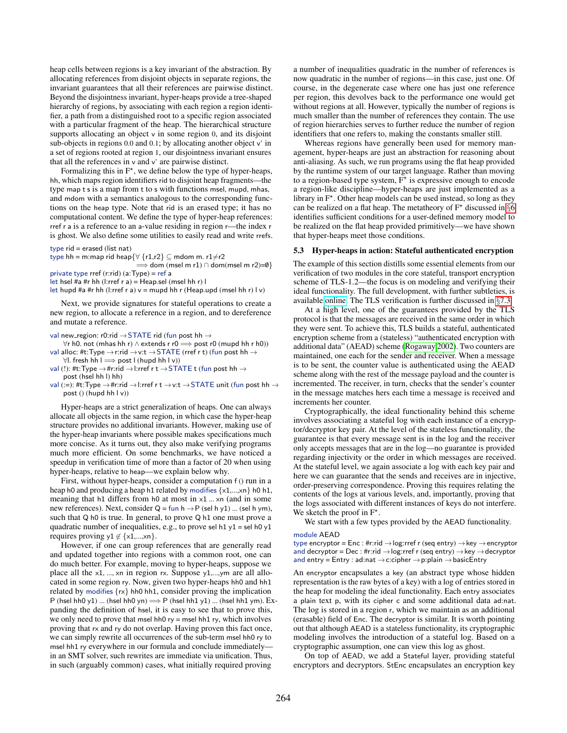heap cells between regions is a key invariant of the abstraction. By allocating references from disjoint objects in separate regions, the invariant guarantees that all their references are pairwise distinct. Beyond the disjointness invariant, hyper-heaps provide a tree-shaped hierarchy of regions, by associating with each region a region identifier, a path from a distinguished root to a specific region associated with a particular fragment of the heap. The hierarchical structure supports allocating an object v in some region 0, and its disjoint sub-objects in regions  $0.0$  and  $0.1$ ; by allocating another object  $v'$  in a set of regions rooted at region 1, our disjointness invariant ensures that all the references in v and v' are pairwise distinct.

Formalizing this in  $F^*$ , we define below the type of hyper-heaps, hh, which maps region identifiers rid to disjoint heap fragments—the type map t s is a map from t to s with functions msel, mupd, mhas, and mdom with a semantics analogous to the corresponding functions on the heap type. Note that rid is an erased type; it has no computational content. We define the type of hyper-heap references: rref r a is a reference to an a-value residing in region r—the index r is ghost. We also define some utilities to easily read and write rrefs.

type rid = erased (list nat)

type hh = m:map rid heap $\{\forall\;\{r1,r2\}\subseteq \text{mdom m. }r1{\neq}r2$ 

 $\Rightarrow$  dom (msel m r1) ∩ dom(msel m r2)=0} private type rref (r:rid) (a:Type) = ref a

let hsel #a #r hh (l:rref r a) = Heap.sel (msel hh r) l

let hupd #a #r hh (l:rref r a)  $v = m$ upd hh r (Heap.upd (msel hh r) l v)

Next, we provide signatures for stateful operations to create a new region, to allocate a reference in a region, and to dereference and mutate a reference.

- val new\_region: r0:rid  $\rightarrow$  STATE rid (fun post hh  $\rightarrow$
- $\forall$ r h0. not (mhas hh r)  $\land$  extends r r0  $\Longrightarrow$  post r0 (mupd hh r h0)) val alloc: #t:Type  $\rightarrow$  r:rid  $\rightarrow$  v:t  $\rightarrow$  STATE (rref r t) (fun post hh  $\rightarrow$
- $∀l.$  fresh hh l  $\Longrightarrow$  post l (hupd hh l v)) val (!): #t:Type  $\rightarrow$  #r:rid  $\rightarrow$  l:rref r t  $\rightarrow$  STATE t (fun post hh  $\rightarrow$ post (hsel hh l) hh)
- val (:=): #t:Type  $\rightarrow$  #r:rid  $\rightarrow$  l:rref r t  $\rightarrow$  v:t  $\rightarrow$  STATE unit (fun post hh  $\rightarrow$ post () (hupd hh l v))

Hyper-heaps are a strict generalization of heaps. One can always allocate all objects in the same region, in which case the hyper-heap structure provides no additional invariants. However, making use of the hyper-heap invariants where possible makes specifications much more concise. As it turns out, they also make verifying programs much more efficient. On some benchmarks, we have noticed a speedup in verification time of more than a factor of 20 when using hyper-heaps, relative to heap—we explain below why.

First, without hyper-heaps, consider a computation f () run in a heap h0 and producing a heap h1 related by modifies  $\{x1,...,xn\}$  h0 h1, meaning that h1 differs from h0 at most in x1 ... xn (and in some new references). Next, consider  $Q = \text{fun } h \rightarrow P$  (sel h y1) ... (sel h ym), such that Q h0 is true. In general, to prove Q h1 one must prove a quadratic number of inequalities, e.g., to prove sel h1  $y1$  = sel h0  $y1$ requires proving y1  $\notin \{x1,...,xn\}$ .

However, if one can group references that are generally read and updated together into regions with a common root, one can do much better. For example, moving to hyper-heaps, suppose we place all the x1, ..., xn in region rx. Suppose y1,...,ym are all allocated in some region ry. Now, given two hyper-heaps hh0 and hh1 related by modifies {rx} hh0 hh1, consider proving the implication P (hsel hh0 y1) ... (hsel hh0 yn)  $\Longrightarrow$  P (hsel hh1 y1) ... (hsel hh1 ym). Expanding the definition of hsel, it is easy to see that to prove this, we only need to prove that msel hh0  $ry$  = msel hh1 ry, which involves proving that rx and ry do not overlap. Having proven this fact once, we can simply rewrite all occurrences of the sub-term msel hh0 ry to msel hh1 ry everywhere in our formula and conclude immediately in an SMT solver, such rewrites are immediate via unification. Thus, in such (arguably common) cases, what initially required proving

a number of inequalities quadratic in the number of references is now quadratic in the number of regions—in this case, just one. Of course, in the degenerate case where one has just one reference per region, this devolves back to the performance one would get without regions at all. However, typically the number of regions is much smaller than the number of references they contain. The use of region hierarchies serves to further reduce the number of region identifiers that one refers to, making the constants smaller still.

Whereas regions have generally been used for memory management, hyper-heaps are just an abstraction for reasoning about anti-aliasing. As such, we run programs using the flat heap provided by the runtime system of our target language. Rather than moving to a region-based type system,  $F^*$  is expressive enough to encode a region-like discipline—hyper-heaps are just implemented as a library in  $F^{\star}$ . Other heap models can be used instead, so long as they can be realized on a flat heap. The metatheory of  $F^*$  discussed in §[6](#page-10-1) identifies sufficient conditions for a user-defined memory model to be realized on the flat heap provided primitively—we have shown that hyper-heaps meet those conditions.

#### <span id="page-9-0"></span>5.3 Hyper-heaps in action: Stateful authenticated encryption

The example of this section distills some essential elements from our verification of two modules in the core stateful, transport encryption scheme of TLS-1.2—the focus is on modeling and verifying their ideal functionality. The full development, with further subtleties, is available [online.](https://www.fstar-lang.org/papers/mumon/artifacts/#mitls) The TLS verification is further discussed in §[7.3.](#page-13-0)

At a high level, one of the guarantees provided by the TLS protocol is that the messages are received in the same order in which they were sent. To achieve this, TLS builds a stateful, authenticated encryption scheme from a (stateless) "authenticated encryption with additional data" (AEAD) scheme [\(Rogaway 2002\)](#page-15-17). Two counters are maintained, one each for the sender and receiver. When a message is to be sent, the counter value is authenticated using the AEAD scheme along with the rest of the message payload and the counter is incremented. The receiver, in turn, checks that the sender's counter in the message matches hers each time a message is received and increments her counter.

Cryptographically, the ideal functionality behind this scheme involves associating a stateful log with each instance of a encryptor/decryptor key pair. At the level of the stateless functionality, the guarantee is that every message sent is in the log and the receiver only accepts messages that are in the log—no guarantee is provided regarding injectivity or the order in which messages are received. At the stateful level, we again associate a log with each key pair and here we can guarantee that the sends and receives are in injective, order-preserving correspondence. Proving this requires relating the contents of the logs at various levels, and, importantly, proving that the logs associated with different instances of keys do not interfere. We sketch the proof in  $F^*$ .

We start with a few types provided by the AEAD functionality.

#### module AEAD

type encryptor = Enc : #r:rid →log:rref r (seq entry) →key →encryptor and decryptor = Dec : #r:rid  $\rightarrow$  log:rref r (seq entry)  $\rightarrow$  key  $\rightarrow$  decryptor and entry = Entry : ad:nat →c:cipher →p:plain →basicEntry

An encryptor encapsulates a key (an abstract type whose hidden representation is the raw bytes of a key) with a log of entries stored in the heap for modeling the ideal functionality. Each entry associates a plain text p, with its cipher c and some additional data ad:nat. The log is stored in a region r, which we maintain as an additional (erasable) field of Enc. The decryptor is similar. It is worth pointing out that although AEAD is a stateless functionality, its cryptographic modeling involves the introduction of a stateful log. Based on a cryptographic assumption, one can view this log as ghost.

On top of AEAD, we add a Stateful layer, providing stateful encryptors and decryptors. StEnc encapsulates an encryption key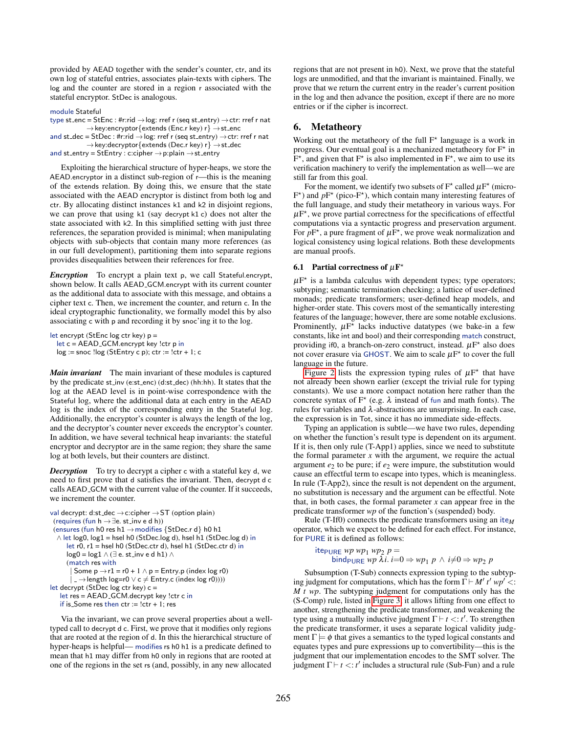provided by AEAD together with the sender's counter, ctr, and its own log of stateful entries, associates plain-texts with ciphers. The log and the counter are stored in a region r associated with the stateful encryptor. StDec is analogous.

module Stateful

type st\_enc = StEnc : #r:rid  $\rightarrow$  log: rref r (seq st\_entry)  $\rightarrow$  ctr: rref r nat  $\rightarrow$  key:encryptor $\{$  extends (Enc.r key) r $\} \rightarrow$  st\_enc and st\_dec = StDec : #r:rid  $\rightarrow$  log: rref r (seq st\_entry)  $\rightarrow$  ctr: rref r nat  $\rightarrow$ key:decryptor{extends (Dec.r key) r}  $\rightarrow$  st\_dec and st\_entry = StEntry : c:cipher  $\rightarrow$  p:plain  $\rightarrow$  st\_entry

Exploiting the hierarchical structure of hyper-heaps, we store the AEAD.encryptor in a distinct sub-region of r—this is the meaning of the extends relation. By doing this, we ensure that the state associated with the AEAD encryptor is distinct from both log and ctr. By allocating distinct instances k1 and k2 in disjoint regions, we can prove that using k1 (say decrypt k1 c) does not alter the state associated with k2. In this simplified setting with just three references, the separation provided is minimal; when manipulating objects with sub-objects that contain many more references (as in our full development), partitioning them into separate regions provides disequalities between their references for free.

*Encryption* To encrypt a plain text p, we call Stateful.encrypt, shown below. It calls AEAD GCM.encrypt with its current counter as the additional data to associate with this message, and obtains a cipher text c. Then, we increment the counter, and return c. In the ideal cryptographic functionality, we formally model this by also associating c with p and recording it by snoc'ing it to the log.

```
let encrypt (StEnc log ctr key) p =
  let c = AEAD_GCM.encrypt key !ctr p in
  log := snoc !log (StEntry c p); ctr := !ctr + 1; c
```
*Main invariant* The main invariant of these modules is captured by the predicate st inv (e:st enc) (d:st dec) (hh:hh). It states that the log at the AEAD level is in point-wise correspondence with the Stateful log, where the additional data at each entry in the AEAD log is the index of the corresponding entry in the Stateful log. Additionally, the encryptor's counter is always the length of the log, and the decryptor's counter never exceeds the encryptor's counter. In addition, we have several technical heap invariants: the stateful encryptor and decryptor are in the same region; they share the same log at both levels, but their counters are distinct.

*Decryption* To try to decrypt a cipher c with a stateful key d, we need to first prove that d satisfies the invariant. Then, decrypt d c calls AEAD GCM with the current value of the counter. If it succeeds, we increment the counter.

```
val decrypt: d:st_dec \rightarrow c:cipher \rightarrow ST (option plain)
 (requires (fun h \rightarrow \exists e. st_inv e d h))
 (ensures (fun h0 res h1 \rightarrow modifies {StDec.r d} h0 h1
  \wedge let log0, log1 = hsel h0 (StDec.log d), hsel h1 (StDec.log d) in
      let r0, r1 = hsel h0 (StDec.ctr d), hsel h1 (StDec.ctr d) in
      log0 = log1 \land (∃ e. st_inv e d h1) \land(match res with
         Some p \rightarrow r1 = r0 + 1 \land p = Entry.p (index log r0)
        \Box \rightarrowlength log=r0 \lor c \neq Entry.c (index log r0))))
let decrypt (StDec log ctr key) c =
   let res = AEAD_GCM.decrypt key !ctr c in
   if is Some res then ctr := !ctr + 1; res
```
Via the invariant, we can prove several properties about a welltyped call to decrypt d c. First, we prove that it modifies only regions that are rooted at the region of d. In this the hierarchical structure of hyper-heaps is helpful— modifies rs h0 h1 is a predicate defined to mean that h1 may differ from h0 only in regions that are rooted at one of the regions in the set rs (and, possibly, in any new allocated

regions that are not present in h0). Next, we prove that the stateful logs are unmodified, and that the invariant is maintained. Finally, we prove that we return the current entry in the reader's current position in the log and then advance the position, except if there are no more entries or if the cipher is incorrect.

### <span id="page-10-1"></span>6. Metatheory

Working out the metatheory of the full  $F^*$  language is a work in progress. Our eventual goal is a mechanized metatheory for  $F^*$  in  $\tilde{F}^*$ , and given that  $F^*$  is also implemented in  $F^*$ , we aim to use its verification machinery to verify the implementation as well—we are still far from this goal.

For the moment, we identify two subsets of  $F^*$  called  $\mu F^*$  (micro- $F^{\star}$ ) and  $pF^{\star}$  (pico- $F^{\star}$ ), which contain many interesting features of the full language, and study their metatheory in various ways. For  $\mu$ F<sup>\*</sup>, we prove partial correctness for the specifications of effectful computations via a syntactic progress and preservation argument. For  $pF^*$ , a pure fragment of  $\mu F^*$ , we prove weak normalization and logical consistency using logical relations. Both these developments are manual proofs.

#### <span id="page-10-0"></span>6.1 Partial correctness of  $\mu$ F<sup>\*</sup>

 $\mu$ F<sup>\*</sup> is a lambda calculus with dependent types; type operators; subtyping; semantic termination checking; a lattice of user-defined monads; predicate transformers; user-defined heap models, and higher-order state. This covers most of the semantically interesting features of the language; however, there are some notable exclusions. Prominently,  $\mu F^*$  lacks inductive datatypes (we bake-in a few constants, like int and bool) and their corresponding match construct, providing if0, a branch-on-zero construct, instead.  $\mu$ F<sup>\*</sup> also does not cover erasure via GHOST. We aim to scale  $\mu$ F<sup>\*</sup> to cover the full language in the future.

[Figure 2](#page-11-1) lists the expression typing rules of  $\mu$ F<sup>\*</sup> that have not already been shown earlier (except the trivial rule for typing constants). We use a more compact notation here rather than the concrete syntax of  $F^*$  (e.g.  $\lambda$  instead of fun and math fonts). The rules for variables and  $\lambda$ -abstractions are unsurprising. In each case, the expression is in Tot, since it has no immediate side-effects.

Typing an application is subtle—we have two rules, depending on whether the function's result type is dependent on its argument. If it is, then only rule (T-App1) applies, since we need to substitute the formal parameter  $x$  with the argument, we require the actual argument  $e_2$  to be pure; if  $e_2$  were impure, the substitution would cause an effectful term to escape into types, which is meaningless. In rule (T-App2), since the result is not dependent on the argument, no substitution is necessary and the argument can be effectful. Note that, in both cases, the formal parameter  $x$  can appear free in the predicate transformer *wp* of the function's (suspended) body.

Rule (T-If0) connects the predicate transformers using an ite*<sup>M</sup>* operator, which we expect to be defined for each effect. For instance, for PURE it is defined as follows:

 $i$ te<sub>PURE</sub> *wp wp*<sub>1</sub> *wp*<sub>2</sub> *p* = bind<sub>PURE</sub> *wp*  $\lambda i$ *.*  $i=0 \Rightarrow wp_1 p \wedge i \neq 0 \Rightarrow wp_2 p$ 

Subsumption (T-Sub) connects expression typing to the subtyping judgment for computations, which has the form  $\Gamma \vdash M'$  *t'*  $wp'$  <: *M t wp*. The subtyping judgment for computations only has the (S-Comp) rule, listed in [Figure 3;](#page-11-2) it allows lifting from one effect to another, strengthening the predicate transformer, and weakening the type using a mutually inductive judgment Γ ⊢ *t* <: *t* ′ . To strengthen the predicate transformer, it uses a separate logical validity judgment  $\Gamma \models \phi$  that gives a semantics to the typed logical constants and equates types and pure expressions up to convertibility—this is the judgment that our implementation encodes to the SMT solver. The judgment  $\Gamma \vdash t \lt t'$  includes a structural rule (Sub-Fun) and a rule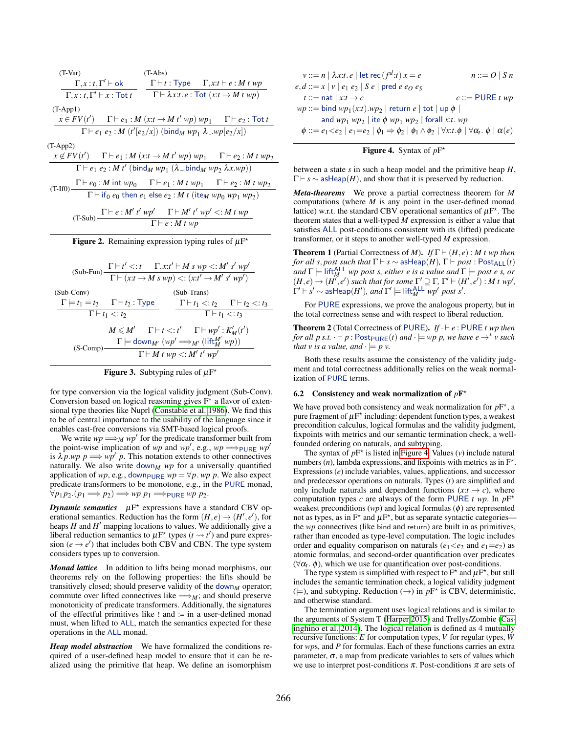| $(T-Var)$                                                                                                                                                | $(T-Abs)$                                                                               |                                                                                                                     |
|----------------------------------------------------------------------------------------------------------------------------------------------------------|-----------------------------------------------------------------------------------------|---------------------------------------------------------------------------------------------------------------------|
|                                                                                                                                                          |                                                                                         | $\Gamma, x : t, \Gamma' \vdash \textsf{ok}$ $\Gamma \vdash t : \textsf{Type}$ $\Gamma, x : t \vdash e : M \cdot tp$ |
| $\Gamma, x : t, \Gamma' \vdash x : \text{Tot } t \qquad \Gamma \vdash \lambda x : t \cdot e : \text{Tot } (x : t \to M t w p)$                           |                                                                                         |                                                                                                                     |
| $(T-App1)$                                                                                                                                               |                                                                                         |                                                                                                                     |
| $x \in FV(t')$ $\Gamma \vdash e_1 : M(x:t \to M t' wp) wp_1$ $\Gamma \vdash e_2 : \text{Tot } t$                                                         |                                                                                         |                                                                                                                     |
|                                                                                                                                                          | $\Gamma \vdash e_1 \ e_2 : M \ (t' \mid e_2/x) \ (bind_M \ wp_1 \ \lambda \_wp[e_2/x])$ |                                                                                                                     |
| $(T-App2)$                                                                                                                                               |                                                                                         |                                                                                                                     |
| $x \notin FV(t')$ $\Gamma \vdash e_1 : M(x:t \to M t' wp) wp_1$ $\Gamma \vdash e_2 : M t wp_2$                                                           |                                                                                         |                                                                                                                     |
| $\Gamma \vdash e_1 \ e_2 : M \ t'$ (bind <sub>M</sub> wp <sub>1</sub> ( $\lambda$ bind <sub>M</sub> wp <sub>2</sub> $\lambda x.wp$ ))                    |                                                                                         |                                                                                                                     |
|                                                                                                                                                          |                                                                                         | $\Gamma\vdash e_0: M$ int $wp_0$ $\Gamma\vdash e_1: M t wp_1$ $\Gamma\vdash e_2: M t wp_2$                          |
| (T-If0) $\overline{\Gamma}$ if <sub>0</sub> $e_0$ then $e_1$ else $e_2$ : <i>M</i> t (ite <sub>M</sub> wp <sub>0</sub> wp <sub>1</sub> wp <sub>2</sub> ) |                                                                                         |                                                                                                                     |
|                                                                                                                                                          | $\Gamma \vdash e : M' t' wp'$ $\Gamma \vdash M' t' wp' <: M t wp$                       |                                                                                                                     |
| $(T-Sub)$ -                                                                                                                                              | $\Gamma\vdash e: M\; t\; wp$                                                            |                                                                                                                     |
| Figure 2. Remaining expression typing rules of $\mu$ F <sup>*</sup>                                                                                      |                                                                                         |                                                                                                                     |

<span id="page-11-1"></span>Γ ⊢ *t*

|                              | $\text{(Sub-Fun)} \frac{\Gamma\vdash t' <:t \quad \  \Gamma, x.t' \vdash M \ s \ wp <:M' \ s' \ wp'}{\Gamma\vdash (x.t \rightarrow M \ s \ wp) <: (x.t' \rightarrow M' \ s' \ wp')}$                                   |  |                           |                                         |                                                         |  |  |
|------------------------------|------------------------------------------------------------------------------------------------------------------------------------------------------------------------------------------------------------------------|--|---------------------------|-----------------------------------------|---------------------------------------------------------|--|--|
| $(Sub-Conv)$                 | (Sub-Trans)                                                                                                                                                                                                            |  |                           |                                         |                                                         |  |  |
|                              | $\Gamma \models t_1 = t_2$ $\Gamma \vdash t_2$ : Type                                                                                                                                                                  |  |                           |                                         | $\Gamma\vdash t_1 <: t_2 \quad \Gamma\vdash t_2 <: t_3$ |  |  |
| $\Gamma \vdash t_1 \lt: t_2$ |                                                                                                                                                                                                                        |  | $\Gamma \vdash t_1 < t_2$ |                                         |                                                         |  |  |
| $(S-Comp)$ –                 | $M \leqslant M'$ $\Gamma \vdash t \lt; : t'$ $\Gamma \vdash wp': K'_{M}(t')$<br>$\Gamma \models \mathsf{down}_{M'}\left( \mathsf{wp}' \Longrightarrow_{M'} \left( \mathsf{lift}^{M'}_M \; \mathsf{wp} \right) \right)$ |  |                           | $\Gamma \vdash M t w p \lt: M' t' w p'$ |                                                         |  |  |

<span id="page-11-2"></span>Figure 3. Subtyping rules of  $\mu$ F<sup>\*</sup>

for type conversion via the logical validity judgment (Sub-Conv). Conversion based on logical reasoning gives  $F^*$  a flavor of extensional type theories like Nuprl [\(Constable et al. 1986\)](#page-15-18). We find this to be of central importance to the usability of the language since it enables cast-free conversions via SMT-based logical proofs.

We write  $wp \Longrightarrow_M wp'$  for the predicate transformer built from the point-wise implication of *wp* and *wp'*, e.g.,  $wp \implies_{\text{PURE}} wp'$ is  $\lambda p \cdot wp \implies wp' p$ . This notation extends to other connectives naturally. We also write down<sub>M</sub>  $wp$  for a universally quantified application of *wp*, e.g., down<sub>PURE</sub>  $wp = \forall p$ . *wp* p. We also expect predicate transformers to be monotone, e.g., in the PURE monad,  $∀p_1p_2.(p_1 \Longrightarrow p_2) \Longrightarrow wp \ p_1 \Longrightarrow p_{URE} \ wp \ p_2.$ 

**Dynamic semantics**  $\mu F^*$  expressions have a standard CBV operational semantics. Reduction has the form  $(H, e) \rightarrow (H', e')$ , for heaps *H* and *H* ′ mapping locations to values. We additionally give a liberal reduction semantics to  $\mu$ F<sup>\*</sup> types ( $t \rightsquigarrow t'$ ) and pure expression  $(e \rightarrow e')$  that includes both CBV and CBN. The type system considers types up to conversion.

*Monad lattice* In addition to lifts being monad morphisms, our theorems rely on the following properties: the lifts should be transitively closed; should preserve validity of the down<sub>*M*</sub> operator; commute over lifted connectives like  $\Longrightarrow_M$ ; and should preserve monotonicity of predicate transformers. Additionally, the signatures of the effectful primitives like ! and := in a user-defined monad must, when lifted to ALL, match the semantics expected for these operations in the ALL monad.

*Heap model abstraction* We have formalized the conditions required of a user-defined heap model to ensure that it can be realized using the primitive flat heap. We define an isomorphism

$$
v ::= n | \lambda x.t. e | let rec(fd: t) x = e
$$
  
\n
$$
e, d ::= x | v | e_1 e_2 | S e | pred e e_0 e_5
$$
  
\n
$$
t ::= nat | x.t \rightarrow c
$$
  
\n
$$
wp ::= bind wp_1(x:t).wp_2 | return e | tot | up \phi |
$$
  
\n
$$
and wp_1 wp_2 | ite \phi wp_1 wp_2 | for all x:t. wp
$$
  
\n
$$
\phi ::= e_1 \langle e_2 | e_1 = e_2 | \phi_1 \Rightarrow \phi_2 | \phi_1 \land \phi_2 | \forall x:t. \phi | \forall \alpha_t. \phi | \alpha(e)
$$

### <span id="page-11-3"></span>Figure 4. Syntax of  $pF^*$

between a state *s* in such a heap model and the primitive heap *H*,  $\Gamma \vdash s \sim \text{asHeap}(H)$ , and show that it is preserved by reduction.

*Meta-theorems* We prove a partial correctness theorem for *M* computations (where *M* is any point in the user-defined monad lattice) w.r.t. the standard CBV operational semantics of  $\mu$ F<sup>\*</sup>. The theorem states that a well-typed *M* expression is either a value that satisfies ALL post-conditions consistent with its (lifted) predicate transformer, or it steps to another well-typed *M* expression.

**Theorem 1** (Partial Correctness of *M*). *If*  $\Gamma \vdash (H, e) : M$  *t wp then for all s, post such that*  $\Gamma \vdash s \sim \text{asHeap}(H)$ ,  $\Gamma \vdash post : \text{Post}_{\text{ALL}}(t)$  $\mathcal{A}$   $\Gamma$   $\models$  lift $^{ALL}_{M}$  *wp post s, either e is a value and*  $\Gamma$   $\models$  *post e s, or*  $(H,e) \rightarrow (H^{\prime\prime},e^{\prime})$  such that for some  $\Gamma^{\prime} \supseteq \Gamma$ ,  $\Gamma^{\prime} \vdash (H^{\prime},e^{\prime})$ : *M* t wp',  $\Gamma' \vdash s' \sim \textsf{asHeap}(H'), \textit{and } \Gamma' \models \textsf{lift}_{M}^{\textsf{ALL}} \textit{wp' post s}'.$ 

For PURE expressions, we prove the analogous property, but in the total correctness sense and with respect to liberal reduction.

Theorem 2 (Total Correctness of PURE). *If* · ⊢ *e* : PURE *t wp then for all*  $p$  *s.t.*  $\cdot \vdash p$  :  $\mathsf{Post}_{\mathsf{PURE}}(t)$  *and*  $\cdot \models \mathsf{wp}$   $p$ *, we have*  $e \rightarrow^* v$  *such that v is a value, and*  $\cdot$   $\models$  *p v.* 

Both these results assume the consistency of the validity judgment and total correctness additionally relies on the weak normalization of PURE terms.

#### <span id="page-11-0"></span>6.2 Consistency and weak normalization of  $pF^*$

We have proved both consistency and weak normalization for  $pF^*$ , a pure fragment of  $\mu$ F<sup>\*</sup> including: dependent function types, a weakest precondition calculus, logical formulas and the validity judgment, fixpoints with metrics and our semantic termination check, a wellfounded ordering on naturals, and subtyping.

The syntax of  $pF^*$  is listed in [Figure 4.](#page-11-3) Values (*v*) include natural numbers  $(n)$ , lambda expressions, and fixpoints with metrics as in  $F^*$ . Expressions (*e*) include variables, values, applications, and successor and predecessor operations on naturals. Types (*t*) are simplified and only include naturals and dependent functions  $(x:t \rightarrow c)$ , where computation types *c* are always of the form PURE *t wp*. In  $pF^*$ weakest preconditions (*wp*) and logical formulas (φ) are represented not as types, as in  $F^*$  and  $\mu F^*$ , but as separate syntactic categories the *wp* connectives (like bind and return) are built in as primitives, rather than encoded as type-level computation. The logic includes order and equality comparison on naturals ( $e_1 < e_2$  and  $e_1 = e_2$ ) as atomic formulas, and second-order quantification over predicates (∀α*t* . φ), which we use for quantification over post-conditions.

The type system is simplified with respect to  $\mathbf{F}^{\star}$  and  $\mu \mathbf{F}^{\star}$ , but still includes the semantic termination check, a logical validity judgment ( $\models$ ), and subtyping. Reduction (→) in  $pF^*$  is CBV, deterministic, and otherwise standard.

The termination argument uses logical relations and is similar to the arguments of System T [\(Harper 2015\)](#page-15-19) and Trellys/Zombie [\(Cas](#page-14-0)[inghino et al. 2014\)](#page-14-0). The logical relation is defined as 4 mutually recursive functions: *E* for computation types, *V* for regular types, *W* for *wp*s, and *P* for formulas. Each of these functions carries an extra parameter,  $\sigma$ , a map from predicate variables to sets of values which we use to interpret post-conditions  $\pi$ . Post-conditions  $\pi$  are sets of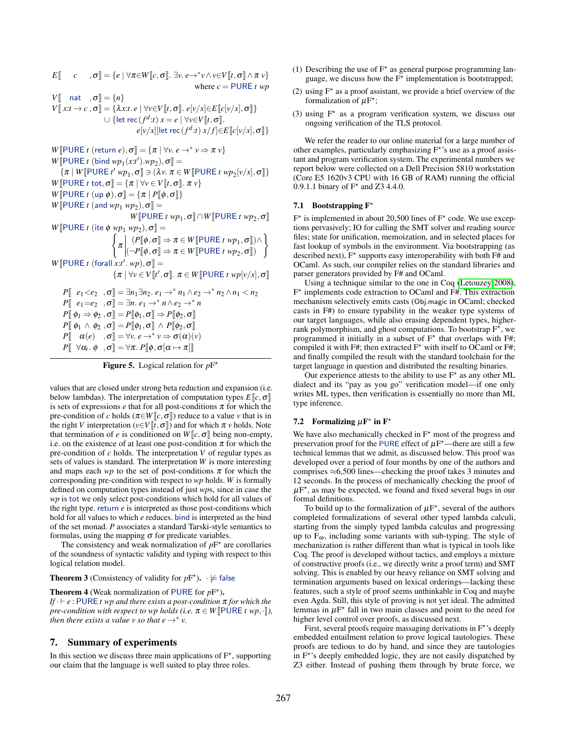$E\llbracket c, \sigma \rrbracket = \{ e \mid \forall \pi \in W \llbracket c, \sigma \rrbracket. \exists v. \ e \rightarrow^* v \wedge v \in V \llbracket t, \sigma \rrbracket \wedge \pi v \}$ where  $c =$  PURE  $t$  wp *V* $\llbracket$  nat ,  $\sigma \rrbracket = \{n\}$  $V[[x:t \rightarrow c, \sigma]] = {\lambda x:t.e \mid \forall v \in V[[t, \sigma]] \cdot e[v/x] \in E[[c[v/x], \sigma]]}$  $\cup$  {let rec  $(f^d:t)$   $x = e \mid \forall v \in V[[t, \sigma]].$  $e[v/x]$ [let rec $(f^d:t)x/f] \in E\llbracket c[v/x], \sigma \rrbracket\}$  $W[\text{PURE } t \text{ (return } e), \sigma] = {\pi | \forall v. e \rightarrow^* v \Rightarrow \pi v}$  $W[\text{PURE } t \text{ (bind } wp_1(x:t').wp_2), \sigma] =$  $\{\pi \mid W[\![\mathsf{PURE}\; t' \; wp_1, \sigma]\!]\ni (\lambda v.\; \pi \in W[\![\mathsf{PURE}\; t \; wp_2[v/x], \sigma]\!]\}$ *W*[ $PURE t$  tot,  $\sigma$ ] = { $\pi | \forall v \in V[t, \sigma]$ .  $\pi v$ } *W* $\llbracket$ PURE *t* (up  $\phi$ ),  $\sigma \rrbracket = {\pi | P \llbracket \phi, \sigma \rrbracket}$  $W[\text{PURE } t \text{ (and } wp_1 \text{ wp}_2), \sigma] =$  $W[\text{PURE } t \text{ wp}_1, \sigma] \cap W[\text{PURE } t \text{ wp}_2, \sigma]$  $W[\text{PURE } t \text{ (ite } \phi \text{ wp}_1 \text{ wp}_2), \sigma] =$  $\sqrt{2}$  $\pi$   $(P[\![\phi, \sigma]\!] \Rightarrow \pi \in W[\![\text{PURE } t \text{ wp}_1, \sigma]\!]) \wedge$  $(\neg P[\![\phi, \sigma]\!] \Rightarrow \pi \in W[\![\text{PURE } t \text{ wp}_2, \sigma]\!])$  $\mathcal{L}$  $W[\text{PURE } t \text{ (for all } x:t'. \text{ } wp), \sigma] =$  $\{\pi \mid \forall v \in V \llbracket t', \sigma \rrbracket \colon \pi \in W \llbracket \text{PURE } t \; wp[v/x], \sigma \rrbracket$  $P\left[\begin{array}{cc}e_1$  $P\left[\begin{array}{cc}e_1=e_2\\p{array}\\\end{array},\sigma\right]=\exists n.\ e_1\rightarrow^* n\wedge e_2\rightarrow^* n$  $P\[\ \phi_1 \Rightarrow \phi_2, \sigma\] = P\[\phi_1, \sigma\] \Rightarrow P\[\phi_2, \sigma\]$  $P\llbracket \phi_1 \wedge \phi_2, \sigma \rrbracket = P\llbracket \phi_1, \sigma \rrbracket \wedge P\llbracket \phi_2, \sigma \rrbracket$  $P\left[\begin{array}{cc} \alpha(e) & , \sigma \end{array}\right] = \forall v. e \rightarrow^* v \Rightarrow \sigma(\alpha)(v)$ 

 $P\llbracket \;\; \forall \alpha_t.\; \phi \;\; \;, \sigma \rrbracket = \forall \pi.\; P\llbracket \phi \, , \sigma[\alpha \mapsto \pi] \rrbracket$ 

**Figure 5.** Logical relation for  $pF^*$ 

values that are closed under strong beta reduction and expansion (i.e. below lambdas). The interpretation of computation types  $E\llbracket c, \sigma \rrbracket$ is sets of expressions  $e$  that for all post-conditions  $\pi$  for which the pre-condition of *c* holds ( $\pi \in W$ [*c*,  $\sigma$ ]) reduce to a value *v* that is in the right *V* interpretation ( $v \in V[t, \sigma]$ ) and for which  $\pi v$  holds. Note that termination of *e* is conditioned on  $W\llbracket c, \sigma \rrbracket$  being non-empty, i.e. on the existence of at least one post-condition  $\pi$  for which the pre-condition of *c* holds. The interpretation *V* of regular types as sets of values is standard. The interpretation *W* is more interesting and maps each *wp* to the set of post-conditions  $\pi$  for which the corresponding pre-condition with respect to *wp* holds. *W* is formally defined on computation types instead of just *wp*s, since in case the *wp* is tot we only select post-conditions which hold for all values of the right type. return *e* is interpreted as those post-conditions which hold for all values to which *e* reduces. bind is interpreted as the bind of the set monad. *P* associates a standard Tarski-style semantics to formulas, using the mapping  $\sigma$  for predicate variables.

The consistency and weak normalization of  $pF^*$  are corollaries of the soundness of syntactic validity and typing with respect to this logical relation model.

**Theorem 3** (Consistency of validity for  $pF^*$ ).  $\cdot \not\models$  false

**Theorem 4** (Weak normalization of PURE for  $pF^*$ ). *If* · ⊢ *e* : PURE *t wp and there exists a post-condition* π *for which the pre-condition with respect to wp holds (i.e.*  $\pi \in W$  **PURE** *t wp*,  $\cdot$  *]*)*,* 

#### *then there exists a value v so that e*  $\rightarrow^*$  *v*.

#### 7. Summary of experiments

In this section we discuss three main applications of  $F^*$ , supporting our claim that the language is well suited to play three roles.

- (1) Describing the use of  $F^*$  as general purpose programming language, we discuss how the  $F^{\star}$  implementation is bootstrapped;
- (2) using  $F^*$  as a proof assistant, we provide a brief overview of the formalization of  $\mu$ F<sup>\*</sup>;
- (3) using  $F^*$  as a program verification system, we discuss our ongoing verification of the TLS protocol.

We refer the reader to our online material for a large number of other examples, particularly emphasizing  $F^*$ 's use as a proof assistant and program verification system. The experimental numbers we report below were collected on a Dell Precision 5810 workstation (Core E5 1620v3 CPU with 16 GB of RAM) running the official 0.9.1.1 binary of  $F^*$  and Z3 4.4.0.

#### <span id="page-12-0"></span>7.1 Bootstrapping  $F^*$

 $F^*$  is implemented in about 20,500 lines of  $F^*$  code. We use exceptions pervasively; IO for calling the SMT solver and reading source files; state for unification, memoization, and in selected places for fast lookup of symbols in the environment. Via bootstrapping (as described next),  $F^*$  supports easy interoperability with both  $F#$  and OCaml. As such, our compiler relies on the standard libraries and parser generators provided by F# and OCaml.

Using a technique similar to the one in Coq [\(Letouzey 2008\)](#page-15-20), F ⋆ implements code extraction to OCaml and F#. This extraction mechanism selectively emits casts (Obj.magic in OCaml; checked casts in F#) to ensure typability in the weaker type systems of our target languages, while also erasing dependent types, higherrank polymorphism, and ghost computations. To bootstrap  $F^{\star}$ , we programmed it initially in a subset of  $F^*$  that overlaps with  $F#$ ; compiled it with F#; then extracted  $F^*$  with itself to OCaml or F#; and finally compiled the result with the standard toolchain for the target language in question and distributed the resulting binaries.

Our experience attests to the ability to use  $F^*$  as any other ML dialect and its "pay as you go" verification model—if one only writes ML types, then verification is essentially no more than ML type inference.

#### <span id="page-12-1"></span>7.2 Formalizing  $\mu \mathbf{F}^*$  in  $\mathbf{F}^*$

We have also mechanically checked in  $F^*$  most of the progress and preservation proof for the PURE effect of  $\mu$ F<sup>\*</sup>—there are still a few technical lemmas that we admit, as discussed below. This proof was developed over a period of four months by one of the authors and comprises  $\approx 6,500$  lines—checking the proof takes 3 minutes and 12 seconds. In the process of mechanically checking the proof of  $\mu$ F<sup>\*</sup>, as may be expected, we found and fixed several bugs in our formal definitions.

To build up to the formalization of  $\mu F^*$ , several of the authors completed formalizations of several other typed lambda calculi, starting from the simply typed lambda calculus and progressing up to  $F_{\omega}$ , including some variants with sub-typing. The style of mechanization is rather different than what is typical in tools like Coq. The proof is developed without tactics, and employs a mixture of constructive proofs (i.e., we directly write a proof term) and SMT solving. This is enabled by our heavy reliance on SMT solving and termination arguments based on lexical orderings—lacking these features, such a style of proof seems unthinkable in Coq and maybe even Agda. Still, this style of proving is not yet ideal. The admitted lemmas in  $\mu$ F<sup>\*</sup> fall in two main classes and point to the need for higher level control over proofs, as discussed next.

First, several proofs require massaging derivations in F<sup>\*</sup>'s deeply embedded entailment relation to prove logical tautologies. These proofs are tedious to do by hand, and since they are tautologies in  $F^*$ 's deeply embedded logic, they are not easily dispatched by Z3 either. Instead of pushing them through by brute force, we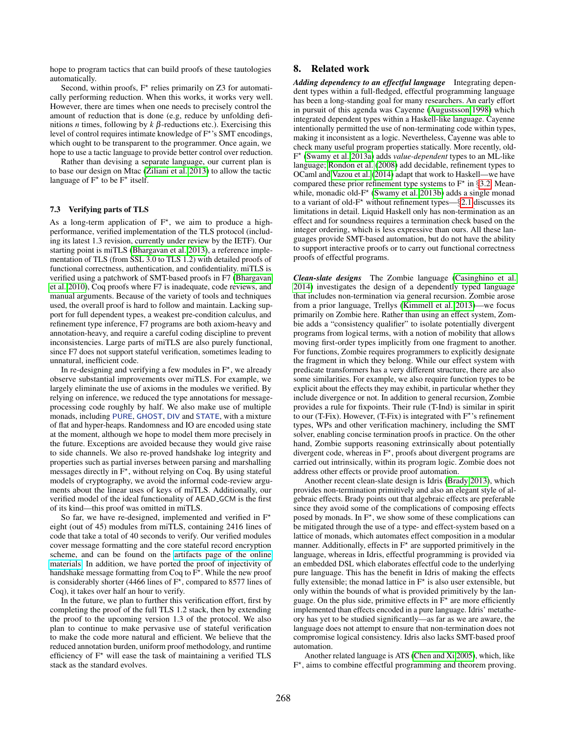hope to program tactics that can build proofs of these tautologies automatically.

Second, within proofs,  $F^*$  relies primarily on Z3 for automatically performing reduction. When this works, it works very well. However, there are times when one needs to precisely control the amount of reduction that is done (e.g, reduce by unfolding definitions *n* times, following by  $k \beta$ -reductions etc.). Exercising this level of control requires intimate knowledge of F<sup>\*</sup>'s SMT encodings, which ought to be transparent to the programmer. Once again, we hope to use a tactic language to provide better control over reduction.

Rather than devising a separate language, our current plan is to base our design on Mtac [\(Ziliani et al. 2013\)](#page-15-21) to allow the tactic language of  $F^*$  to be  $F^*$  itself.

#### <span id="page-13-0"></span>7.3 Verifying parts of TLS

As a long-term application of  $F^*$ , we aim to produce a highperformance, verified implementation of the TLS protocol (including its latest 1.3 revision, currently under review by the IETF). Our starting point is miTLS [\(Bhargavan et al. 2013\)](#page-14-1), a reference implementation of TLS (from SSL 3.0 to TLS 1.2) with detailed proofs of functional correctness, authentication, and confidentiality. miTLS is verified using a patchwork of SMT-based proofs in F7 [\(Bhargavan](#page-14-8) [et al. 2010\)](#page-14-8), Coq proofs where F7 is inadequate, code reviews, and manual arguments. Because of the variety of tools and techniques used, the overall proof is hard to follow and maintain. Lacking support for full dependent types, a weakest pre-condition calculus, and refinement type inference, F7 programs are both axiom-heavy and annotation-heavy, and require a careful coding discipline to prevent inconsistencies. Large parts of miTLS are also purely functional, since F7 does not support stateful verification, sometimes leading to unnatural, inefficient code.

In re-designing and verifying a few modules in  $F^*$ , we already observe substantial improvements over miTLS. For example, we largely eliminate the use of axioms in the modules we verified. By relying on inference, we reduced the type annotations for messageprocessing code roughly by half. We also make use of multiple monads, including PURE, GHOST, DIV and STATE, with a mixture of flat and hyper-heaps. Randomness and IO are encoded using state at the moment, although we hope to model them more precisely in the future. Exceptions are avoided because they would give raise to side channels. We also re-proved handshake log integrity and properties such as partial inverses between parsing and marshalling  $\overline{\text{message}}$  directly in  $F^*$ , without relying on Coq. By using stateful models of cryptography, we avoid the informal code-review arguments about the linear uses of keys of miTLS. Additionally, our verified model of the ideal functionality of AEAD GCM is the first of its kind—this proof was omitted in miTLS.

So far, we have re-designed, implemented and verified in  $F^*$ eight (out of 45) modules from miTLS, containing 2416 lines of code that take a total of 40 seconds to verify. Our verified modules cover message formatting and the core stateful record encryption scheme, and can be found on the [artifacts page of the online](https://www.fstar-lang.org/papers/mumon/artifacts/) [materials.](https://www.fstar-lang.org/papers/mumon/artifacts/) In addition, we have ported the proof of injectivity of handshake message formatting from Coq to  $\overline{F}^*$ . While the new proof is considerably shorter (4466 lines of  $F^{\star}$ , compared to 8577 lines of Coq), it takes over half an hour to verify.

In the future, we plan to further this verification effort, first by completing the proof of the full TLS 1.2 stack, then by extending the proof to the upcoming version 1.3 of the protocol. We also plan to continue to make pervasive use of stateful verification to make the code more natural and efficient. We believe that the reduced annotation burden, uniform proof methodology, and runtime efficiency of  $F^*$  will ease the task of maintaining a verified TLS stack as the standard evolves.

#### 8. Related work

*Adding dependency to an effectful language* Integrating dependent types within a full-fledged, effectful programming language has been a long-standing goal for many researchers. An early effort in pursuit of this agenda was Cayenne [\(Augustsson 1998\)](#page-14-9) which integrated dependent types within a Haskell-like language. Cayenne intentionally permitted the use of non-terminating code within types, making it inconsistent as a logic. Nevertheless, Cayenne was able to check many useful program properties statically. More recently, old-F ⋆ [\(Swamy et al. 2013a\)](#page-15-5) adds *value-dependent* types to an ML-like language; [Rondon et al. \(2008\)](#page-15-13) add decidable, refinement types to OCaml and [Vazou et al. \(2014\)](#page-15-22) adapt that work to Haskell—we have compared these prior refinement type systems to  $F^*$  in §[3.2.](#page-6-1) Mean-while, monadic old-F<sup>\*</sup> [\(Swamy et al. 2013b\)](#page-15-8) adds a single monad to a variant of old- $F^*$  without refinement types—§[2.1](#page-3-0) discusses its limitations in detail. Liquid Haskell only has non-termination as an effect and for soundness requires a termination check based on the integer ordering, which is less expressive than ours. All these languages provide SMT-based automation, but do not have the ability to support interactive proofs or to carry out functional correctness proofs of effectful programs.

*Clean-slate designs* The Zombie language [\(Casinghino et al.](#page-14-0) [2014\)](#page-14-0) investigates the design of a dependently typed language that includes non-termination via general recursion. Zombie arose from a prior language, Trellys [\(Kimmell et al. 2013\)](#page-15-23)—we focus primarily on Zombie here. Rather than using an effect system, Zombie adds a "consistency qualifier" to isolate potentially divergent programs from logical terms, with a notion of mobility that allows moving first-order types implicitly from one fragment to another. For functions, Zombie requires programmers to explicitly designate the fragment in which they belong. While our effect system with predicate transformers has a very different structure, there are also some similarities. For example, we also require function types to be explicit about the effects they may exhibit, in particular whether they include divergence or not. In addition to general recursion, Zombie provides a rule for fixpoints. Their rule (T-Ind) is similar in spirit to our (T-Fix). However, (T-Fix) is integrated with  $F^*$ 's refinement types, WPs and other verification machinery, including the SMT solver, enabling concise termination proofs in practice. On the other hand, Zombie supports reasoning extrinsically about potentially divergent code, whereas in  $F^*$ , proofs about divergent programs are carried out intrinsically, within its program logic. Zombie does not address other effects or provide proof automation.

Another recent clean-slate design is Idris [\(Brady 2013\)](#page-14-10), which provides non-termination primitively and also an elegant style of algebraic effects. Brady points out that algebraic effects are preferable since they avoid some of the complications of composing effects posed by monads. In  $F^*$ , we show some of these complications can be mitigated through the use of a type- and effect-system based on a lattice of monads, which automates effect composition in a modular manner. Additionally, effects in  $F^*$  are supported primitively in the language, whereas in Idris, effectful programming is provided via an embedded DSL which elaborates effectful code to the underlying pure language. This has the benefit in Idris of making the effects fully extensible; the monad lattice in  $F^*$  is also user extensible, but only within the bounds of what is provided primitively by the language. On the plus side, primitive effects in  $\tilde{F}^{\star}$  are more efficiently implemented than effects encoded in a pure language. Idris' metatheory has yet to be studied significantly—as far as we are aware, the language does not attempt to ensure that non-termination does not compromise logical consistency. Idris also lacks SMT-based proof automation.

Another related language is ATS [\(Chen and Xi 2005\)](#page-14-11), which, like F ⋆ , aims to combine effectful programming and theorem proving.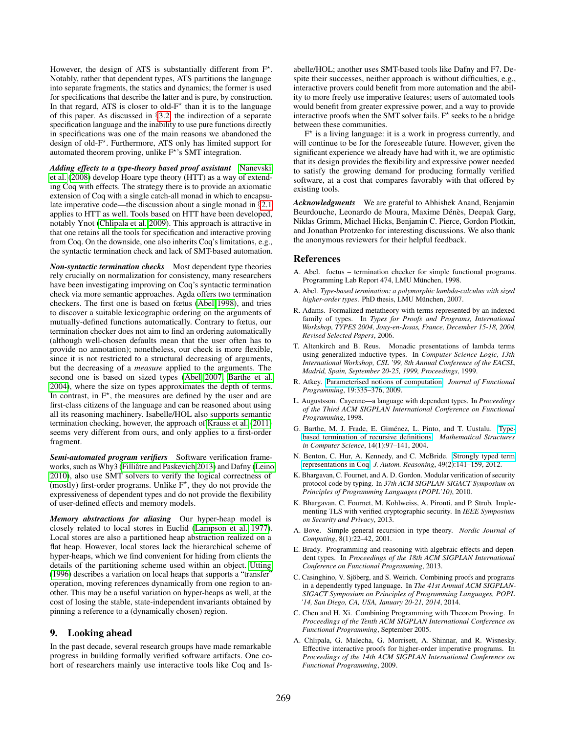However, the design of ATS is substantially different from  $F^*$ . Notably, rather that dependent types, ATS partitions the language into separate fragments, the statics and dynamics; the former is used for specifications that describe the latter and is pure, by construction. In that regard, ATS is closer to old- $F^*$  than it is to the language of this paper. As discussed in §[3.2,](#page-6-1) the indirection of a separate specification language and the inability to use pure functions directly in specifications was one of the main reasons we abandoned the design of old-F<sup>\*</sup>. Furthermore, ATS only has limited support for automated theorem proving, unlike F<sup>\*</sup>'s SMT integration.

*Adding effects to a type-theory based proof assistant* [Nanevski](#page-15-4) [et al. \(2008\)](#page-15-4) develop Hoare type theory (HTT) as a way of extending Coq with effects. The strategy there is to provide an axiomatic extension of Coq with a single catch-all monad in which to encapsulate imperative code—the discussion about a single monad in §[2.1](#page-3-0) applies to HTT as well. Tools based on HTT have been developed, notably Ynot [\(Chlipala et al. 2009\)](#page-14-12). This approach is attractive in that one retains all the tools for specification and interactive proving from Coq. On the downside, one also inherits Coq's limitations, e.g., the syntactic termination check and lack of SMT-based automation.

*Non-syntactic termination checks* Most dependent type theories rely crucially on normalization for consistency, many researchers have been investigating improving on Coq's syntactic termination check via more semantic approaches. Agda offers two termination checkers. The first one is based on fœtus [\(Abel 1998\)](#page-14-13), and tries to discover a suitable lexicographic ordering on the arguments of mutually-defined functions automatically. Contrary to fœtus, our termination checker does not aim to find an ordering automatically (although well-chosen defaults mean that the user often has to provide no annotation); nonetheless, our check is more flexible, since it is not restricted to a structural decreasing of arguments, but the decreasing of a *measure* applied to the arguments. The second one is based on sized types [\(Abel 2007;](#page-14-14) [Barthe et al.](#page-14-3) [2004\)](#page-14-3), where the size on types approximates the depth of terms. In contrast, in  $F^*$ , the measures are defined by the user and are first-class citizens of the language and can be reasoned about using all its reasoning machinery. Isabelle/HOL also supports semantic termination checking, however, the approach of [Krauss et al. \(2011\)](#page-15-24) seems very different from ours, and only applies to a first-order fragment.

*Semi-automated program verifiers* Software verification frame-works, such as Why3 (Filliâtre and Paskevich 2013) and Dafny [\(Leino](#page-15-2) [2010\)](#page-15-2), also use SMT solvers to verify the logical correctness of (mostly) first-order programs. Unlike  $F^*$ , they do not provide the expressiveness of dependent types and do not provide the flexibility of user-defined effects and memory models.

*Memory abstractions for aliasing* Our hyper-heap model is closely related to local stores in Euclid [\(Lampson et al. 1977\)](#page-15-25). Local stores are also a partitioned heap abstraction realized on a flat heap. However, local stores lack the hierarchical scheme of hyper-heaps, which we find convenient for hiding from clients the details of the partitioning scheme used within an object. [Utting](#page-15-26) [\(1996\)](#page-15-26) describes a variation on local heaps that supports a "transfer" operation, moving references dynamically from one region to another. This may be a useful variation on hyper-heaps as well, at the cost of losing the stable, state-independent invariants obtained by pinning a reference to a (dynamically chosen) region.

#### 9. Looking ahead

In the past decade, several research groups have made remarkable progress in building formally verified software artifacts. One cohort of researchers mainly use interactive tools like Coq and Isabelle/HOL; another uses SMT-based tools like Dafny and F7. Despite their successes, neither approach is without difficulties, e.g., interactive provers could benefit from more automation and the ability to more freely use imperative features; users of automated tools would benefit from greater expressive power, and a way to provide interactive proofs when the SMT solver fails.  $F^*$  seeks to be a bridge between these communities.

F ⋆ is a living language: it is a work in progress currently, and will continue to be for the foreseeable future. However, given the significant experience we already have had with it, we are optimistic that its design provides the flexibility and expressive power needed to satisfy the growing demand for producing formally verified software, at a cost that compares favorably with that offered by existing tools.

*Acknowledgments* We are grateful to Abhishek Anand, Benjamin Beurdouche, Leonardo de Moura, Maxime Dénès, Deepak Garg, Niklas Grimm, Michael Hicks, Benjamin C. Pierce, Gordon Plotkin, and Jonathan Protzenko for interesting discussions. We also thank the anonymous reviewers for their helpful feedback.

#### References

- <span id="page-14-13"></span>A. Abel. foetus – termination checker for simple functional programs. Programming Lab Report 474, LMU München, 1998.
- <span id="page-14-14"></span>A. Abel. *Type-based termination: a polymorphic lambda-calculus with sized higher-order types*. PhD thesis, LMU München, 2007.
- <span id="page-14-5"></span>R. Adams. Formalized metatheory with terms represented by an indexed family of types. In *Types for Proofs and Programs, International Workshop, TYPES 2004, Jouy-en-Josas, France, December 15-18, 2004, Revised Selected Papers*, 2006.
- <span id="page-14-7"></span>T. Altenkirch and B. Reus. Monadic presentations of lambda terms using generalized inductive types. In *Computer Science Logic, 13th International Workshop, CSL '99, 8th Annual Conference of the EACSL, Madrid, Spain, September 20-25, 1999, Proceedings*, 1999.
- <span id="page-14-2"></span>R. Atkey. [Parameterised notions of computation.](http://dx.doi.org/10.1017/S095679680900728X) *Journal of Functional Programming*, 19:335–376, 2009.
- <span id="page-14-9"></span>L. Augustsson. Cayenne—a language with dependent types. In *Proceedings of the Third ACM SIGPLAN International Conference on Functional Programming*, 1998.
- <span id="page-14-3"></span>G. Barthe, M. J. Frade, E. Giménez, L. Pinto, and T. Uustalu. [Type](http://dx.doi.org/10.1017/S0960129503004122) [based termination of recursive definitions.](http://dx.doi.org/10.1017/S0960129503004122) *Mathematical Structures in Computer Science*, 14(1):97–141, 2004.
- <span id="page-14-6"></span>N. Benton, C. Hur, A. Kennedy, and C. McBride. [Strongly typed term](http://dx.doi.org/10.1007/s10817-011-9219-0) [representations in Coq.](http://dx.doi.org/10.1007/s10817-011-9219-0) *J. Autom. Reasoning*, 49(2):141–159, 2012.
- <span id="page-14-8"></span>K. Bhargavan, C. Fournet, and A. D. Gordon. Modular verification of security protocol code by typing. In *37th ACM SIGPLAN-SIGACT Symposium on Principles of Programming Languages (POPL'10)*, 2010.
- <span id="page-14-1"></span>K. Bhargavan, C. Fournet, M. Kohlweiss, A. Pironti, and P. Strub. Implementing TLS with verified cryptographic security. In *IEEE Symposium on Security and Privacy*, 2013.
- <span id="page-14-4"></span>A. Bove. Simple general recursion in type theory. *Nordic Journal of Computing*, 8(1):22–42, 2001.
- <span id="page-14-10"></span>E. Brady. Programming and reasoning with algebraic effects and dependent types. In *Proceedings of the 18th ACM SIGPLAN International Conference on Functional Programming*, 2013.
- <span id="page-14-0"></span>C. Casinghino, V. Sjöberg, and S. Weirich. Combining proofs and programs in a dependently typed language. In *The 41st Annual ACM SIGPLAN-SIGACT Symposium on Principles of Programming Languages, POPL '14, San Diego, CA, USA, January 20-21, 2014*, 2014.
- <span id="page-14-11"></span>C. Chen and H. Xi. Combining Programming with Theorem Proving. In *Proceedings of the Tenth ACM SIGPLAN International Conference on Functional Programming*, September 2005.
- <span id="page-14-12"></span>A. Chlipala, G. Malecha, G. Morrisett, A. Shinnar, and R. Wisnesky. Effective interactive proofs for higher-order imperative programs. In *Proceedings of the 14th ACM SIGPLAN International Conference on Functional Programming*, 2009.